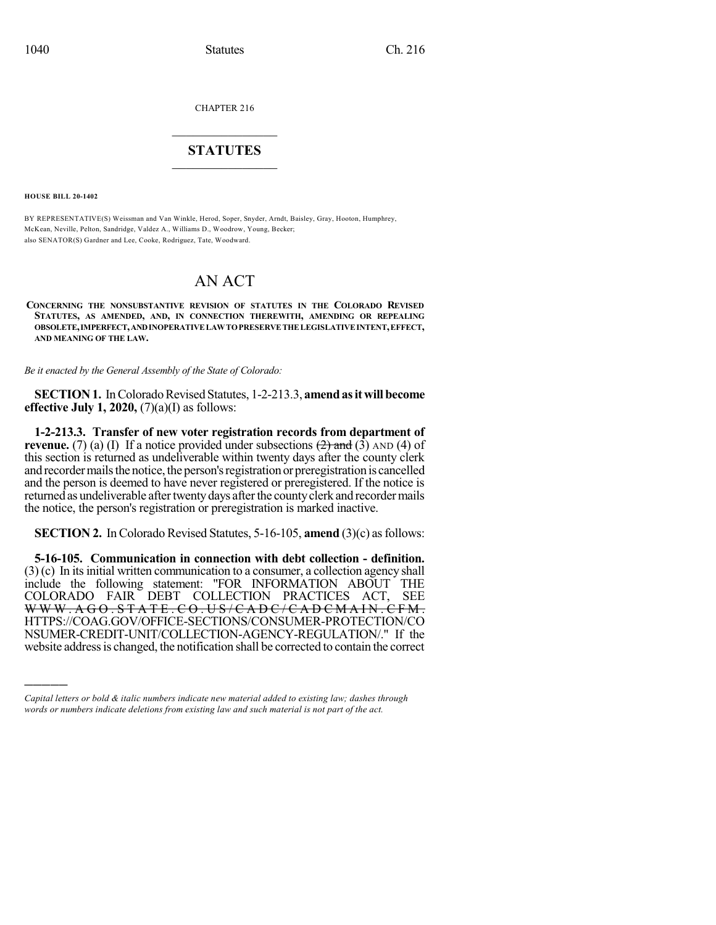CHAPTER 216

## $\overline{\phantom{a}}$  . The set of the set of the set of the set of the set of the set of the set of the set of the set of the set of the set of the set of the set of the set of the set of the set of the set of the set of the set o **STATUTES**  $\_$   $\_$

**HOUSE BILL 20-1402**

)))))

BY REPRESENTATIVE(S) Weissman and Van Winkle, Herod, Soper, Snyder, Arndt, Baisley, Gray, Hooton, Humphrey, McKean, Neville, Pelton, Sandridge, Valdez A., Williams D., Woodrow, Young, Becker; also SENATOR(S) Gardner and Lee, Cooke, Rodriguez, Tate, Woodward.

# AN ACT

**CONCERNING THE NONSUBSTANTIVE REVISION OF STATUTES IN THE COLORADO REVISED STATUTES, AS AMENDED, AND, IN CONNECTION THEREWITH, AMENDING OR REPEALING OBSOLETE,IMPERFECT,ANDINOPERATIVELAWTOPRESERVETHELEGISLATIVEINTENT,EFFECT, AND MEANING OF THE LAW.**

*Be it enacted by the General Assembly of the State of Colorado:*

**SECTION 1.** In Colorado Revised Statutes, 1-2-213.3, **amend as it will become effective July 1, 2020,** (7)(a)(I) as follows:

**1-2-213.3. Transfer of new voter registration records from department of revenue.** (7) (a) (I) If a notice provided under subsections  $\left(2\right)$  and  $\left(3\right)$  AND (4) of this section is returned as undeliverable within twenty days after the county clerk and recorder mails the notice, the person's registration or preregistration is cancelled and the person is deemed to have never registered or preregistered. If the notice is returned as undeliverable after twenty days after the county clerk and recorder mails the notice, the person's registration or preregistration is marked inactive.

**SECTION 2.** In Colorado Revised Statutes, 5-16-105, **amend** (3)(c) as follows:

**5-16-105. Communication in connection with debt collection - definition.**  $(3)$  (c) In its initial written communication to a consumer, a collection agency shall include the following statement: "FOR INFORMATION ABOUT THE COLORADO FAIR DEBT COLLECTION PRACTICES ACT, SEE WWW.AGO.STATE.CO.US/CADC/CADCMAIN.CFM. HTTPS://COAG.GOV/OFFICE-SECTIONS/CONSUMER-PROTECTION/CO NSUMER-CREDIT-UNIT/COLLECTION-AGENCY-REGULATION/." If the website addressis changed, the notification shall be corrected to contain the correct

*Capital letters or bold & italic numbers indicate new material added to existing law; dashes through words or numbers indicate deletions from existing law and such material is not part of the act.*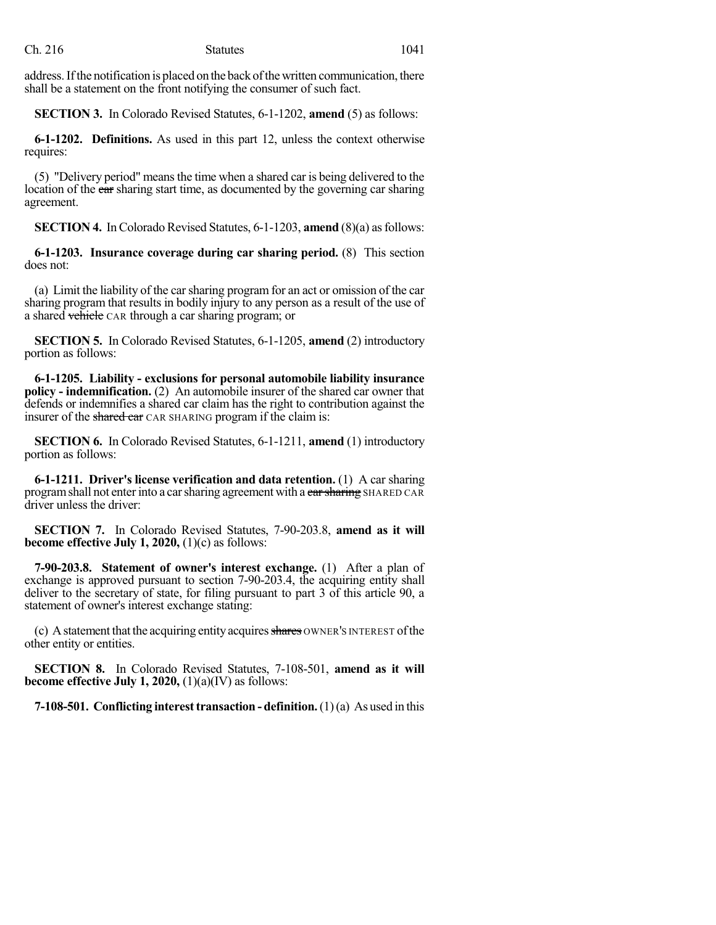address. If the notification is placed on the back of the written communication, there shall be a statement on the front notifying the consumer of such fact.

**SECTION 3.** In Colorado Revised Statutes, 6-1-1202, **amend** (5) as follows:

**6-1-1202. Definitions.** As used in this part 12, unless the context otherwise requires:

(5) "Delivery period" meansthe time when a shared car is being delivered to the location of the car sharing start time, as documented by the governing car sharing agreement.

**SECTION 4.** In Colorado Revised Statutes, 6-1-1203, **amend** (8)(a) as follows:

**6-1-1203. Insurance coverage during car sharing period.** (8) This section does not:

(a) Limit the liability of the carsharing program for an act or omission of the car sharing program that results in bodily injury to any person as a result of the use of a shared vehicle CAR through a car sharing program; or

**SECTION 5.** In Colorado Revised Statutes, 6-1-1205, **amend** (2) introductory portion as follows:

**6-1-1205. Liability - exclusions for personal automobile liability insurance policy - indemnification.** (2) An automobile insurer of the shared car owner that defends or indemnifies a shared car claim has the right to contribution against the insurer of the shared car CAR SHARING program if the claim is:

**SECTION 6.** In Colorado Revised Statutes, 6-1-1211, **amend** (1) introductory portion as follows:

**6-1-1211. Driver's license verification and data retention.** (1) A car sharing program shall not enter into a car sharing agreement with a car sharing SHARED CAR driver unless the driver:

**SECTION 7.** In Colorado Revised Statutes, 7-90-203.8, **amend as it will become effective July 1, 2020,** (1)(c) as follows:

**7-90-203.8. Statement of owner's interest exchange.** (1) After a plan of exchange is approved pursuant to section 7-90-203.4, the acquiring entity shall deliver to the secretary of state, for filing pursuant to part 3 of this article 90, a statement of owner's interest exchange stating:

(c) A statement that the acquiring entity acquires shares OWNER's INTEREST of the other entity or entities.

**SECTION 8.** In Colorado Revised Statutes, 7-108-501, **amend as it will become effective July 1, 2020,** (1)(a)(IV) as follows:

**7-108-501. Conflicting interest transaction - definition.** (1)(a) As used in this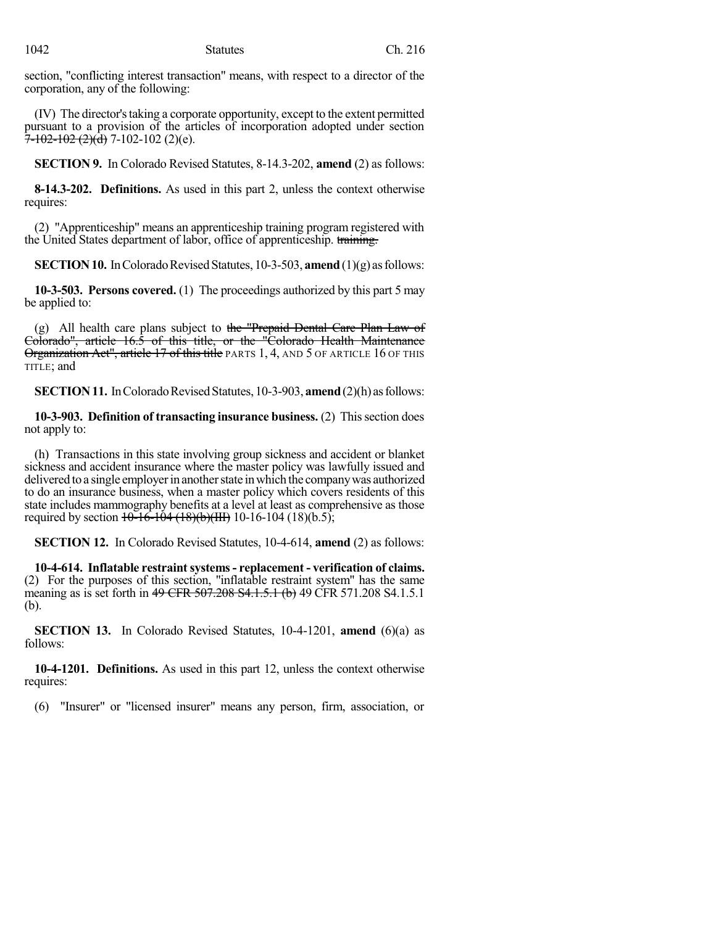section, "conflicting interest transaction" means, with respect to a director of the corporation, any of the following:

(IV) The director'staking a corporate opportunity, except to the extent permitted pursuant to a provision of the articles of incorporation adopted under section  $\overline{7}$ -102-102 (2)(d) 7-102-102 (2)(e).

**SECTION 9.** In Colorado Revised Statutes, 8-14.3-202, **amend** (2) as follows:

**8-14.3-202. Definitions.** As used in this part 2, unless the context otherwise requires:

(2) "Apprenticeship" means an apprenticeship training program registered with the United States department of labor, office of apprenticeship. training.

**SECTION 10.** In Colorado Revised Statutes, 10-3-503, **amend** (1)(g) as follows:

**10-3-503. Persons covered.** (1) The proceedings authorized by this part 5 may be applied to:

(g) All health care plans subject to the "Prepaid Dental Care Plan Law of Colorado", article 16.5 of this title, or the "Colorado Health Maintenance Organization Act", article 17 of this title PARTS 1, 4, AND 5 OF ARTICLE 16 OF THIS TITLE; and

**SECTION 11.** In Colorado Revised Statutes, 10-3-903, **amend** (2)(h) as follows:

**10-3-903. Definition of transacting insurance business.** (2) This section does not apply to:

(h) Transactions in this state involving group sickness and accident or blanket sickness and accident insurance where the master policy was lawfully issued and delivered to a single employer in another state in which the company was authorized to do an insurance business, when a master policy which covers residents of this state includes mammography benefits at a level at least as comprehensive as those required by section  $10-16-104$  (18)(b)(III) 10-16-104 (18)(b.5);

**SECTION 12.** In Colorado Revised Statutes, 10-4-614, **amend** (2) as follows:

**10-4-614. Inflatable restraintsystems- replacement - verification of claims.** (2) For the purposes of this section, "inflatable restraint system" has the same meaning as is set forth in 49 CFR 507.208 S4.1.5.1 (b) 49 CFR 571.208 S4.1.5.1 (b).

**SECTION 13.** In Colorado Revised Statutes, 10-4-1201, **amend** (6)(a) as follows:

**10-4-1201. Definitions.** As used in this part 12, unless the context otherwise requires:

(6) "Insurer" or "licensed insurer" means any person, firm, association, or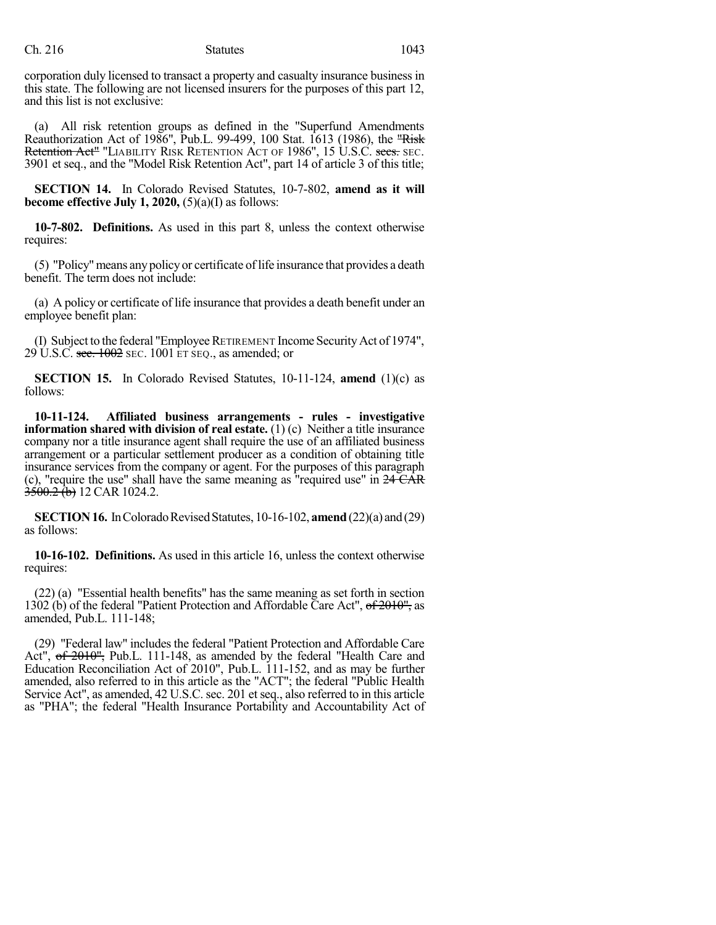corporation duly licensed to transact a property and casualty insurance business in this state. The following are not licensed insurers for the purposes of this part 12, and this list is not exclusive:

(a) All risk retention groups as defined in the "Superfund Amendments Reauthorization Act of 1986", Pub.L. 99-499, 100 Stat. 1613 (1986), the "Risk Retention Act<sup>"</sup> "LIABILITY RISK RETENTION ACT OF 1986", 15 U.S.C. secs. SEC. 3901 et seq., and the "Model Risk Retention Act", part 14 of article 3 of this title;

**SECTION 14.** In Colorado Revised Statutes, 10-7-802, **amend as it will become effective July 1, 2020,** (5)(a)(I) as follows:

**10-7-802. Definitions.** As used in this part 8, unless the context otherwise requires:

(5) "Policy"means any policy or certificate oflife insurance that provides a death benefit. The term does not include:

(a) A policy or certificate of life insurance that provides a death benefit under an employee benefit plan:

(I) Subject to the federal "EmployeeRETIREMENT Income SecurityAct of 1974",  $29$  U.S.C. sec. 1002 SEC. 1001 ET SEQ., as amended; or

**SECTION 15.** In Colorado Revised Statutes, 10-11-124, **amend** (1)(c) as follows:

**10-11-124. Affiliated business arrangements - rules - investigative information shared with division of real estate.** (1) (c) Neither a title insurance company nor a title insurance agent shall require the use of an affiliated business arrangement or a particular settlement producer as a condition of obtaining title insurance services from the company or agent. For the purposes of this paragraph (c), "require the use" shall have the same meaning as "required use" in  $24\overrightarrow{CAR}$  $3500.2$  (b) 12 CAR 1024.2.

**SECTION 16.** In Colorado Revised Statutes, 10-16-102, **amend** (22)(a) and (29) as follows:

**10-16-102. Definitions.** As used in this article 16, unless the context otherwise requires:

(22) (a) "Essential health benefits" has the same meaning as set forth in section 1302 (b) of the federal "Patient Protection and Affordable Care Act",  $\sigma f^2$   $\sigma f^2$  as amended, Pub.L. 111-148;

(29) "Federal law" includes the federal "Patient Protection and Affordable Care Act", of 2010"; Pub.L. 111-148, as amended by the federal "Health Care and Education Reconciliation Act of 2010", Pub.L. 111-152, and as may be further amended, also referred to in this article as the "ACT"; the federal "Public Health Service Act", as amended, 42 U.S.C. sec. 201 et seq., also referred to in this article as "PHA"; the federal "Health Insurance Portability and Accountability Act of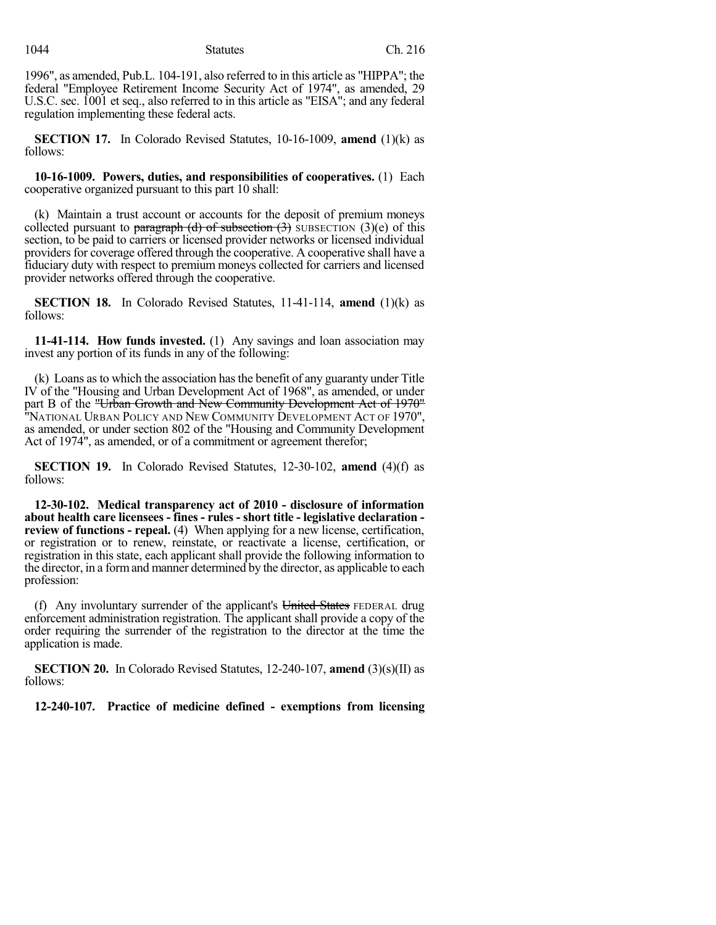1996", as amended, Pub.L. 104-191, also referred to in this article as "HIPPA"; the federal "Employee Retirement Income Security Act of 1974", as amended, 29 U.S.C. sec. 1001 et seq., also referred to in this article as "EISA"; and any federal regulation implementing these federal acts.

**SECTION 17.** In Colorado Revised Statutes, 10-16-1009, **amend** (1)(k) as follows:

**10-16-1009. Powers, duties, and responsibilities of cooperatives.** (1) Each cooperative organized pursuant to this part 10 shall:

(k) Maintain a trust account or accounts for the deposit of premium moneys collected pursuant to paragraph (d) of subsection  $(3)$  SUBSECTION  $(3)(e)$  of this section, to be paid to carriers or licensed provider networks or licensed individual providers for coverage offered through the cooperative. A cooperative shall have a fiduciary duty with respect to premium moneys collected for carriers and licensed provider networks offered through the cooperative.

**SECTION 18.** In Colorado Revised Statutes, 11-41-114, **amend** (1)(k) as follows:

**11-41-114. How funds invested.** (1) Any savings and loan association may invest any portion of its funds in any of the following:

(k) Loans asto which the association hasthe benefit of any guaranty under Title IV of the "Housing and Urban Development Act of 1968", as amended, or under part B of the "Urban Growth and New Community Development Act of 1970" "NATIONAL URBAN POLICY AND NEW COMMUNITY DEVELOPMENT ACT OF 1970", as amended, or under section 802 of the "Housing and Community Development Act of 1974", as amended, or of a commitment or agreement therefor;

**SECTION 19.** In Colorado Revised Statutes, 12-30-102, **amend** (4)(f) as follows:

**12-30-102. Medical transparency act of 2010 - disclosure of information about health care licensees - fines - rules - short title - legislative declaration review of functions - repeal.** (4) When applying for a new license, certification, or registration or to renew, reinstate, or reactivate a license, certification, or registration in this state, each applicant shall provide the following information to the director, in a formand manner determined by the director, as applicable to each profession:

(f) Any involuntary surrender of the applicant's United States FEDERAL drug enforcement administration registration. The applicant shall provide a copy of the order requiring the surrender of the registration to the director at the time the application is made.

**SECTION 20.** In Colorado Revised Statutes, 12-240-107, **amend** (3)(s)(II) as follows:

**12-240-107. Practice of medicine defined - exemptions from licensing**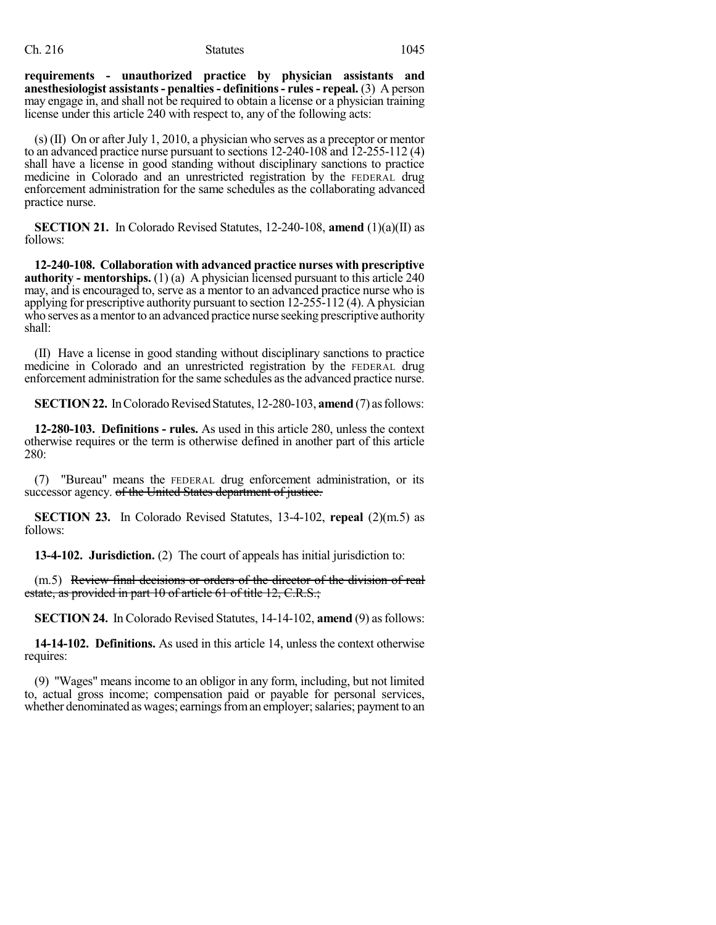#### Ch. 216 Statutes 1045

**requirements - unauthorized practice by physician assistants and anesthesiologist assistants- penalties- definitions- rules- repeal.** (3) A person may engage in, and shall not be required to obtain a license or a physician training license under this article 240 with respect to, any of the following acts:

(s) (II) On or after July 1, 2010, a physician who serves as a preceptor or mentor to an advanced practice nurse pursuant to sections 12-240-108 and 12-255-112 (4) shall have a license in good standing without disciplinary sanctions to practice medicine in Colorado and an unrestricted registration by the FEDERAL drug enforcement administration for the same schedules as the collaborating advanced practice nurse.

**SECTION 21.** In Colorado Revised Statutes, 12-240-108, **amend** (1)(a)(II) as follows:

**12-240-108. Collaboration with advanced practice nurses with prescriptive authority - mentorships.** (1) (a) A physician licensed pursuant to this article 240 may, and is encouraged to, serve as a mentor to an advanced practice nurse who is applying for prescriptive authority pursuant to section 12-255-112 (4). A physician who serves as a mentor to an advanced practice nurse seeking prescriptive authority shall:

(II) Have a license in good standing without disciplinary sanctions to practice medicine in Colorado and an unrestricted registration by the FEDERAL drug enforcement administration for the same schedules asthe advanced practice nurse.

**SECTION 22.** In Colorado Revised Statutes, 12-280-103, **amend** (7) as follows:

**12-280-103. Definitions - rules.** As used in this article 280, unless the context otherwise requires or the term is otherwise defined in another part of this article 280:

(7) "Bureau" means the FEDERAL drug enforcement administration, or its successor agency. of the United States department of justice.

**SECTION 23.** In Colorado Revised Statutes,  $13-4-102$ , **repeal**  $(2)(m.5)$  as follows:

**13-4-102. Jurisdiction.** (2) The court of appeals has initial jurisdiction to:

(m.5) Review final decisions or orders of the director of the division of real estate, as provided in part 10 of article 61 of title 12, C.R.S.;

**SECTION 24.** In Colorado Revised Statutes, 14-14-102, **amend** (9) as follows:

**14-14-102. Definitions.** As used in this article 14, unless the context otherwise requires:

(9) "Wages" means income to an obligor in any form, including, but not limited to, actual gross income; compensation paid or payable for personal services, whether denominated as wages; earnings from an employer; salaries; payment to an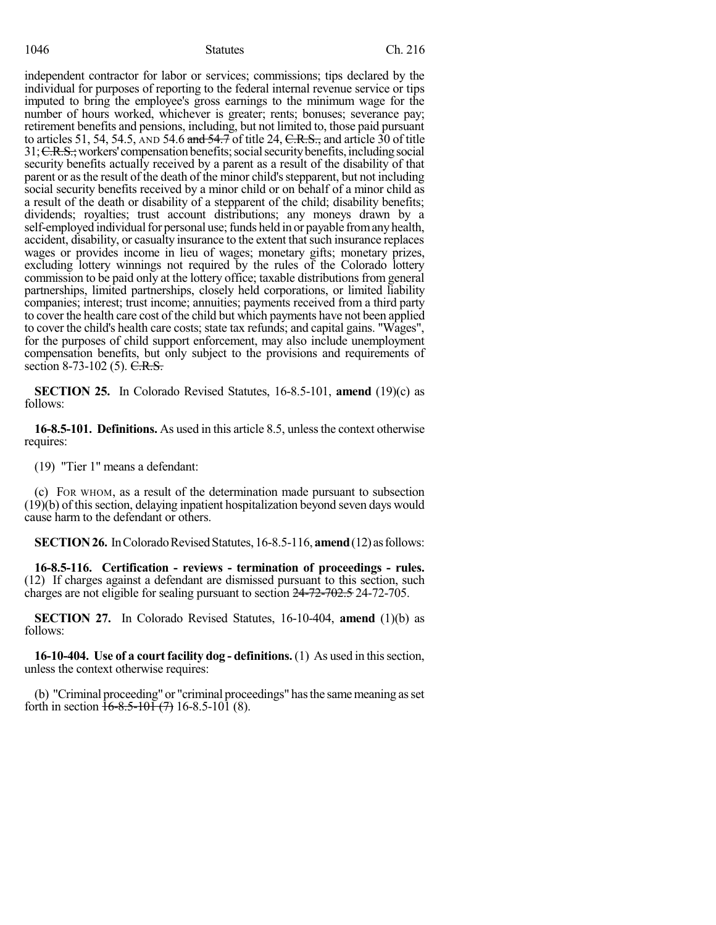independent contractor for labor or services; commissions; tips declared by the individual for purposes of reporting to the federal internal revenue service or tips imputed to bring the employee's gross earnings to the minimum wage for the number of hours worked, whichever is greater; rents; bonuses; severance pay; retirement benefits and pensions, including, but not limited to, those paid pursuant to articles 51, 54, 54.5, AND 54.6 and  $\frac{1}{24}$  of title 24, C.R.S., and article 30 of title 31; C.R.S.; workers' compensation benefits; social security benefits, including social security benefits actually received by a parent as a result of the disability of that parent or as the result of the death of the minor child's stepparent, but not including social security benefits received by a minor child or on behalf of a minor child as a result of the death or disability of a stepparent of the child; disability benefits; dividends; royalties; trust account distributions; any moneys drawn by a self-employed individual for personal use; funds held in or payable from any health, accident, disability, or casualty insurance to the extent that such insurance replaces wages or provides income in lieu of wages; monetary gifts; monetary prizes, excluding lottery winnings not required by the rules of the Colorado lottery commission to be paid only at the lottery office; taxable distributions from general partnerships, limited partnerships, closely held corporations, or limited liability companies; interest; trust income; annuities; payments received from a third party to cover the health care cost of the child but which payments have not been applied to cover the child's health care costs; state tax refunds; and capital gains. "Wages", for the purposes of child support enforcement, may also include unemployment compensation benefits, but only subject to the provisions and requirements of section 8-73-102 (5). C.R.S.

**SECTION 25.** In Colorado Revised Statutes, 16-8.5-101, **amend** (19)(c) as follows:

**16-8.5-101. Definitions.** As used in this article 8.5, unless the context otherwise requires:

(19) "Tier 1" means a defendant:

(c) FOR WHOM, as a result of the determination made pursuant to subsection  $(19)(b)$  of this section, delaying inpatient hospitalization beyond seven days would cause harm to the defendant or others.

**SECTION 26.** In Colorado Revised Statutes, 16-8.5-116, **amend** (12) as follows:

**16-8.5-116. Certification - reviews - termination of proceedings - rules.** (12) If charges against a defendant are dismissed pursuant to this section, such charges are not eligible for sealing pursuant to section 24-72-702.5 24-72-705.

**SECTION 27.** In Colorado Revised Statutes, 16-10-404, **amend** (1)(b) as follows:

**16-10-404. Use of a courtfacility dog - definitions.** (1) As used in thissection, unless the context otherwise requires:

(b) "Criminal proceeding" or "criminal proceedings" has the same meaning as set forth in section  $\frac{1}{6}$ -8.5-10 $\frac{1}{1}$  (7) 16-8.5-10 $\frac{1}{1}$  (8).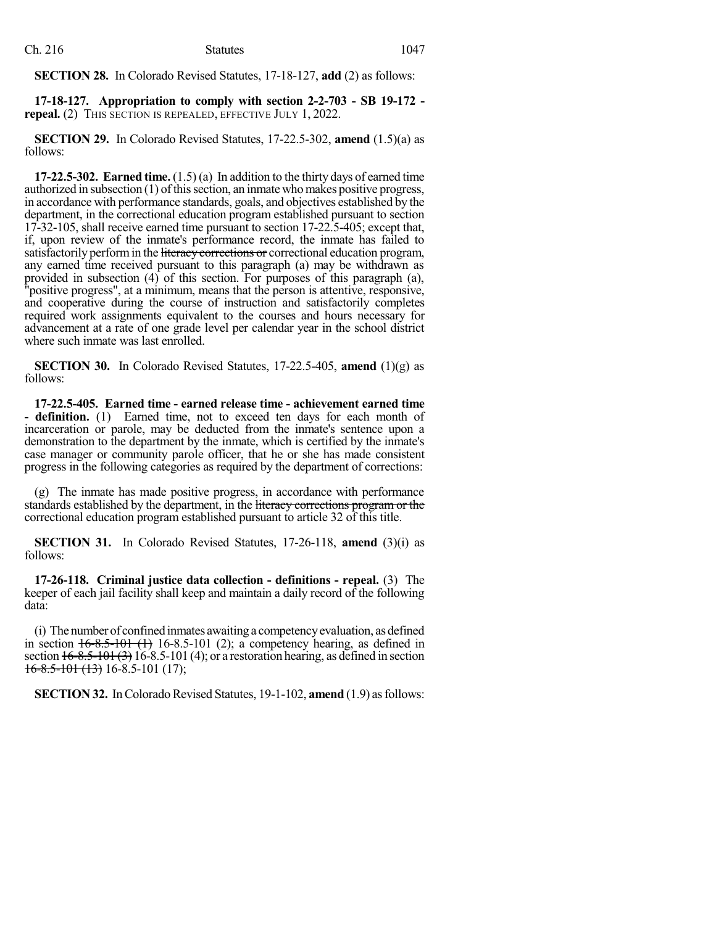**SECTION 28.** In Colorado Revised Statutes, 17-18-127, **add** (2) as follows:

**17-18-127. Appropriation to comply with section 2-2-703 - SB 19-172 repeal.** (2) THIS SECTION IS REPEALED, EFFECTIVE JULY 1, 2022.

**SECTION 29.** In Colorado Revised Statutes, 17-22.5-302, **amend** (1.5)(a) as follows:

**17-22.5-302. Earned time.** (1.5) (a) In addition to the thirty days of earned time authorized in subsection  $(1)$  of this section, an inmate who makes positive progress, in accordance with performance standards, goals, and objectives established by the department, in the correctional education program established pursuant to section 17-32-105, shall receive earned time pursuant to section 17-22.5-405; except that, if, upon review of the inmate's performance record, the inmate has failed to satisfactorily perform in the literacy corrections or correctional education program, any earned time received pursuant to this paragraph (a) may be withdrawn as provided in subsection (4) of this section. For purposes of this paragraph (a), "positive progress", at a minimum, means that the person is attentive, responsive, and cooperative during the course of instruction and satisfactorily completes required work assignments equivalent to the courses and hours necessary for advancement at a rate of one grade level per calendar year in the school district where such inmate was last enrolled.

**SECTION 30.** In Colorado Revised Statutes, 17-22.5-405, **amend** (1)(g) as follows:

**17-22.5-405. Earned time - earned release time - achievement earned time - definition.** (1) Earned time, not to exceed ten days for each month of incarceration or parole, may be deducted from the inmate's sentence upon a demonstration to the department by the inmate, which is certified by the inmate's case manager or community parole officer, that he or she has made consistent progress in the following categories as required by the department of corrections:

(g) The inmate has made positive progress, in accordance with performance standards established by the department, in the literacy corrections program or the correctional education program established pursuant to article 32 of this title.

**SECTION 31.** In Colorado Revised Statutes, 17-26-118, **amend** (3)(i) as follows:

**17-26-118. Criminal justice data collection - definitions - repeal.** (3) The keeper of each jail facility shall keep and maintain a daily record of the following data:

(i) Thenumber of confined inmates awaiting a competencyevaluation, as defined in section  $16-8.5-101$  (1) 16-8.5-101 (2); a competency hearing, as defined in section  $16-8.5-101(3)$  16-8.5-101 (4); or a restoration hearing, as defined in section  $16-8.5-101(13)$  16-8.5-101 (17);

**SECTION 32.** In Colorado Revised Statutes, 19-1-102, **amend** (1.9) as follows: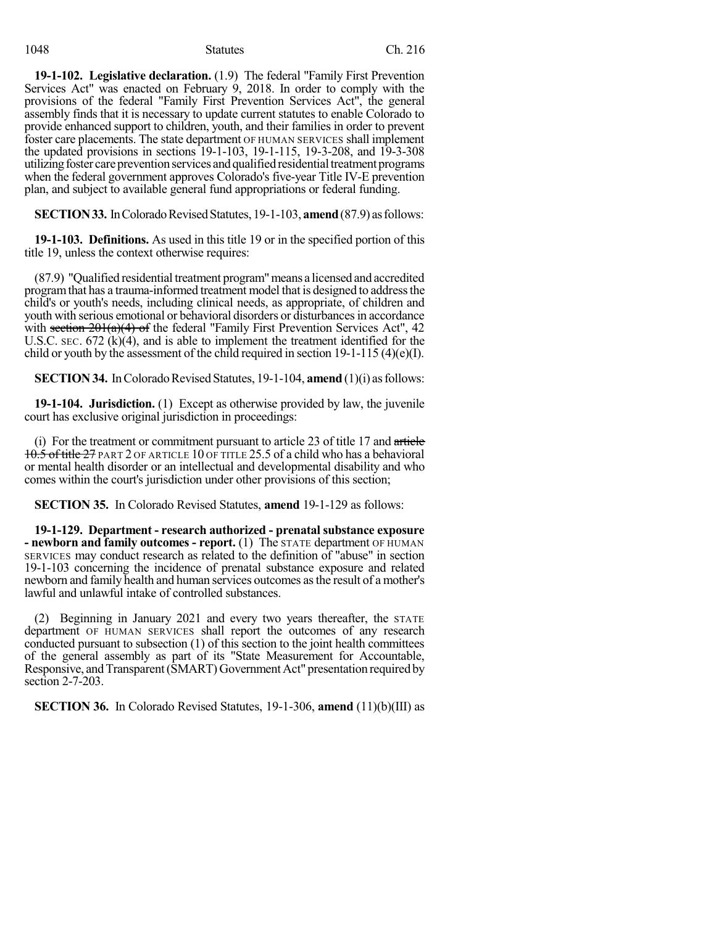#### 1048 Statutes Ch. 216

**19-1-102. Legislative declaration.** (1.9) The federal "Family First Prevention Services Act" was enacted on February 9, 2018. In order to comply with the provisions of the federal "Family First Prevention Services Act", the general assembly finds that it is necessary to update current statutes to enable Colorado to provide enhanced support to children, youth, and their families in order to prevent foster care placements. The state department OF HUMAN SERVICES shall implement the updated provisions in sections 19-1-103, 19-1-115, 19-3-208, and 19-3-308 utilizing foster care prevention services and qualified residential treatment programs when the federal government approves Colorado's five-year Title IV-E prevention plan, and subject to available general fund appropriations or federal funding.

**SECTION 33.** In Colorado Revised Statutes, 19-1-103, **amend** (87.9) as follows:

**19-1-103. Definitions.** As used in this title 19 or in the specified portion of this title 19, unless the context otherwise requires:

(87.9) "Qualified residential treatment program"means a licensed and accredited program that has a trauma-informed treatment model that is designed to address the child's or youth's needs, including clinical needs, as appropriate, of children and youth with serious emotional or behavioral disorders or disturbances in accordance with section  $201(a)(4)$  of the federal "Family First Prevention Services Act", 42 U.S.C.  $SEC$ .  $672$  (k)(4), and is able to implement the treatment identified for the child or youth by the assessment of the child required in section 19-1-115 (4)(e)(I).

**SECTION 34.** In Colorado Revised Statutes, 19-1-104, **amend** (1)(i) as follows:

**19-1-104. Jurisdiction.** (1) Except as otherwise provided by law, the juvenile court has exclusive original jurisdiction in proceedings:

(i) For the treatment or commitment pursuant to article 23 of title 17 and article 10.5 of title 27 PART 2 OF ARTICLE 10 OF TITLE 25.5 of a child who has a behavioral or mental health disorder or an intellectual and developmental disability and who comes within the court's jurisdiction under other provisions of this section;

**SECTION 35.** In Colorado Revised Statutes, **amend** 19-1-129 as follows:

**19-1-129. Department - research authorized - prenatal substance exposure - newborn and family outcomes - report.** (1) The STATE department OF HUMAN SERVICES may conduct research as related to the definition of "abuse" in section 19-1-103 concerning the incidence of prenatal substance exposure and related newborn and family health and human services outcomes asthe result of a mother's lawful and unlawful intake of controlled substances.

(2) Beginning in January 2021 and every two years thereafter, the STATE department OF HUMAN SERVICES shall report the outcomes of any research conducted pursuant to subsection (1) of this section to the joint health committees of the general assembly as part of its "State Measurement for Accountable, Responsive, and Transparent (SMART) Government Act" presentation required by section 2-7-203.

**SECTION 36.** In Colorado Revised Statutes, 19-1-306, **amend** (11)(b)(III) as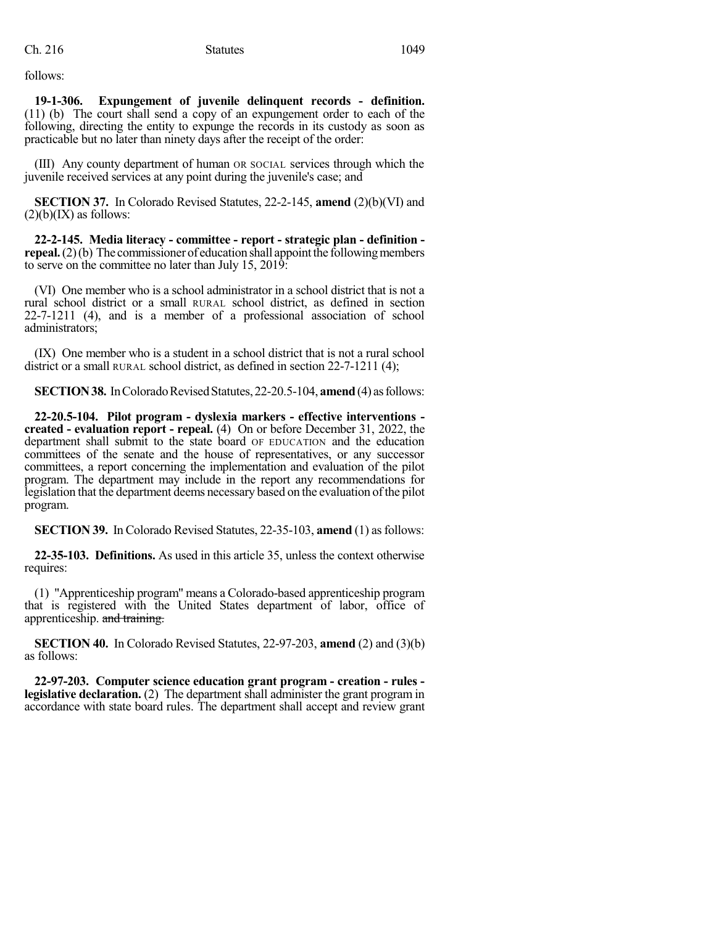follows:

**19-1-306. Expungement of juvenile delinquent records - definition.** (11) (b) The court shall send a copy of an expungement order to each of the following, directing the entity to expunge the records in its custody as soon as practicable but no later than ninety days after the receipt of the order:

(III) Any county department of human OR SOCIAL services through which the juvenile received services at any point during the juvenile's case; and

**SECTION 37.** In Colorado Revised Statutes, 22-2-145, **amend** (2)(b)(VI) and  $(2)(b)(IX)$  as follows:

**22-2-145. Media literacy - committee - report - strategic plan - definition repeal.** (2)(b) The commissioner of education shall appoint the following members to serve on the committee no later than July 15, 2019:

(VI) One member who is a school administrator in a school district that is not a rural school district or a small RURAL school district, as defined in section 22-7-1211 (4), and is a member of a professional association of school administrators;

(IX) One member who is a student in a school district that is not a rural school district or a small RURAL school district, as defined in section 22-7-1211 (4);

**SECTION 38.** In Colorado Revised Statutes, 22-20.5-104, **amend** (4) as follows:

**22-20.5-104. Pilot program - dyslexia markers - effective interventions created - evaluation report - repeal.** (4) On or before December 31, 2022, the department shall submit to the state board OF EDUCATION and the education committees of the senate and the house of representatives, or any successor committees, a report concerning the implementation and evaluation of the pilot program. The department may include in the report any recommendations for legislation that the department deems necessary based on the evaluation ofthe pilot program.

**SECTION 39.** In Colorado Revised Statutes, 22-35-103, **amend** (1) as follows:

**22-35-103. Definitions.** As used in this article 35, unless the context otherwise requires:

(1) "Apprenticeship program" means a Colorado-based apprenticeship program that is registered with the United States department of labor, office of apprenticeship. and training.

**SECTION 40.** In Colorado Revised Statutes, 22-97-203, **amend** (2) and (3)(b) as follows:

**22-97-203. Computer science education grant program - creation - rules legislative declaration.** (2) The department shall administer the grant program in accordance with state board rules. The department shall accept and review grant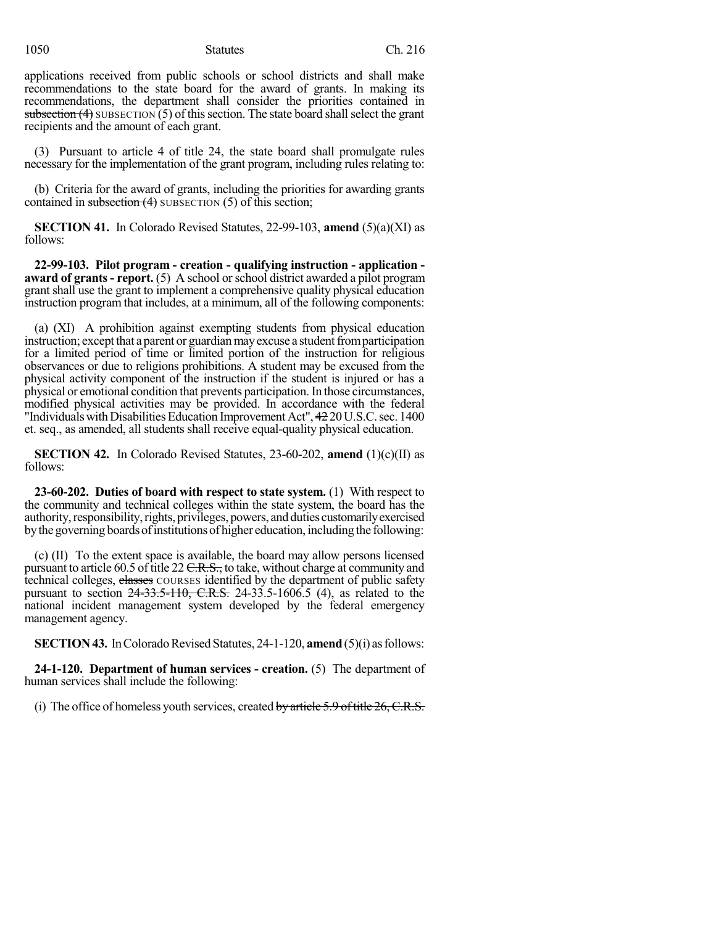applications received from public schools or school districts and shall make recommendations to the state board for the award of grants. In making its recommendations, the department shall consider the priorities contained in subsection  $(4)$  SUBSECTION  $(5)$  of this section. The state board shall select the grant recipients and the amount of each grant.

(3) Pursuant to article 4 of title 24, the state board shall promulgate rules necessary for the implementation of the grant program, including rules relating to:

(b) Criteria for the award of grants, including the priorities for awarding grants contained in subsection (4) SUBSECTION (5) of this section;

**SECTION 41.** In Colorado Revised Statutes, 22-99-103, **amend** (5)(a)(XI) as follows:

**22-99-103. Pilot program - creation - qualifying instruction - application award of grants- report.** (5) A school orschool district awarded a pilot program grant shall use the grant to implement a comprehensive quality physical education instruction program that includes, at a minimum, all of the following components:

(a) (XI) A prohibition against exempting students from physical education instruction; except that a parent or guardian may excuse a student from participation for a limited period of time or limited portion of the instruction for religious observances or due to religions prohibitions. A student may be excused from the physical activity component of the instruction if the student is injured or has a physical or emotional condition that prevents participation. In those circumstances, modified physical activities may be provided. In accordance with the federal "Individuals with Disabilities Education Improvement Act", 42 20 U.S.C. sec. 1400 et. seq., as amended, all students shall receive equal-quality physical education.

**SECTION 42.** In Colorado Revised Statutes, 23-60-202, **amend** (1)(c)(II) as follows:

**23-60-202. Duties of board with respect to state system.** (1) With respect to the community and technical colleges within the state system, the board has the authority, responsibility, rights, privileges, powers, and duties customarily exercised bythe governing boardsofinstitutionsof higher education, including the following:

(c) (II) To the extent space is available, the board may allow persons licensed pursuant to article 60.5 of title 22 C.R.S., to take, without charge at community and technical colleges, classes COURSES identified by the department of public safety pursuant to section 24-33.5-110, C.R.S. 24-33.5-1606.5 (4), as related to the national incident management system developed by the federal emergency management agency.

**SECTION 43.** In Colorado Revised Statutes, 24-1-120, **amend** (5)(i) as follows:

**24-1-120. Department of human services - creation.** (5) The department of human services shall include the following:

(i) The office of homeless youth services, created by article  $5.9$  of title  $26$ , C.R.S.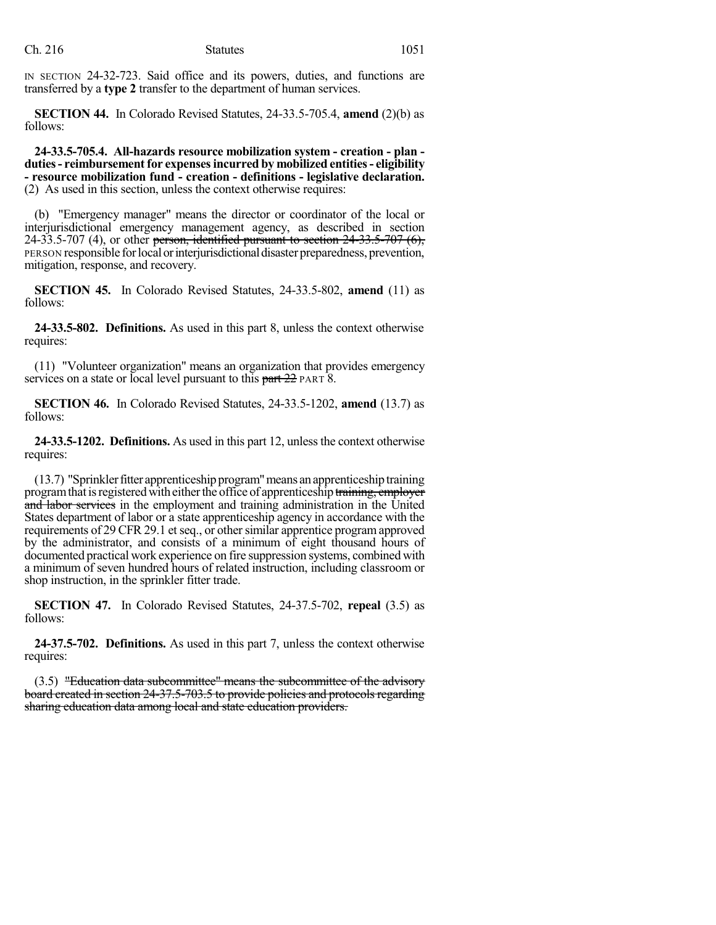IN SECTION 24-32-723. Said office and its powers, duties, and functions are transferred by a **type 2** transfer to the department of human services.

**SECTION 44.** In Colorado Revised Statutes, 24-33.5-705.4, **amend** (2)(b) as follows:

**24-33.5-705.4. All-hazards resource mobilization system - creation - plan duties- reimbursementfor expensesincurred by mobilized entities- eligibility - resource mobilization fund - creation - definitions - legislative declaration.** (2) As used in this section, unless the context otherwise requires:

(b) "Emergency manager" means the director or coordinator of the local or interjurisdictional emergency management agency, as described in section 24-33.5-707 (4), or other person, identified pursuant to section  $24$ -33.5-707 (6), PERSON responsible forlocalorinterjurisdictionaldisaster preparedness, prevention, mitigation, response, and recovery.

**SECTION 45.** In Colorado Revised Statutes, 24-33.5-802, **amend** (11) as follows:

**24-33.5-802. Definitions.** As used in this part 8, unless the context otherwise requires:

(11) "Volunteer organization" means an organization that provides emergency services on a state or local level pursuant to this part 22 PART 8.

**SECTION 46.** In Colorado Revised Statutes, 24-33.5-1202, **amend** (13.7) as follows:

**24-33.5-1202. Definitions.** As used in this part 12, unlessthe context otherwise requires:

(13.7) "Sprinkler fitter apprenticeship program" means an apprenticeship training program that is registered with either the office of apprenticeship training, employer and labor services in the employment and training administration in the United States department of labor or a state apprenticeship agency in accordance with the requirements of 29 CFR 29.1 et seq., or other similar apprentice program approved by the administrator, and consists of a minimum of eight thousand hours of documented practical work experience on fire suppression systems, combined with a minimum of seven hundred hours of related instruction, including classroom or shop instruction, in the sprinkler fitter trade.

**SECTION 47.** In Colorado Revised Statutes, 24-37.5-702, **repeal** (3.5) as follows:

**24-37.5-702. Definitions.** As used in this part 7, unless the context otherwise requires:

(3.5) "Education data subcommittee" means the subcommittee of the advisory board created in section 24-37.5-703.5 to provide policies and protocols regarding sharing education data among local and state education providers.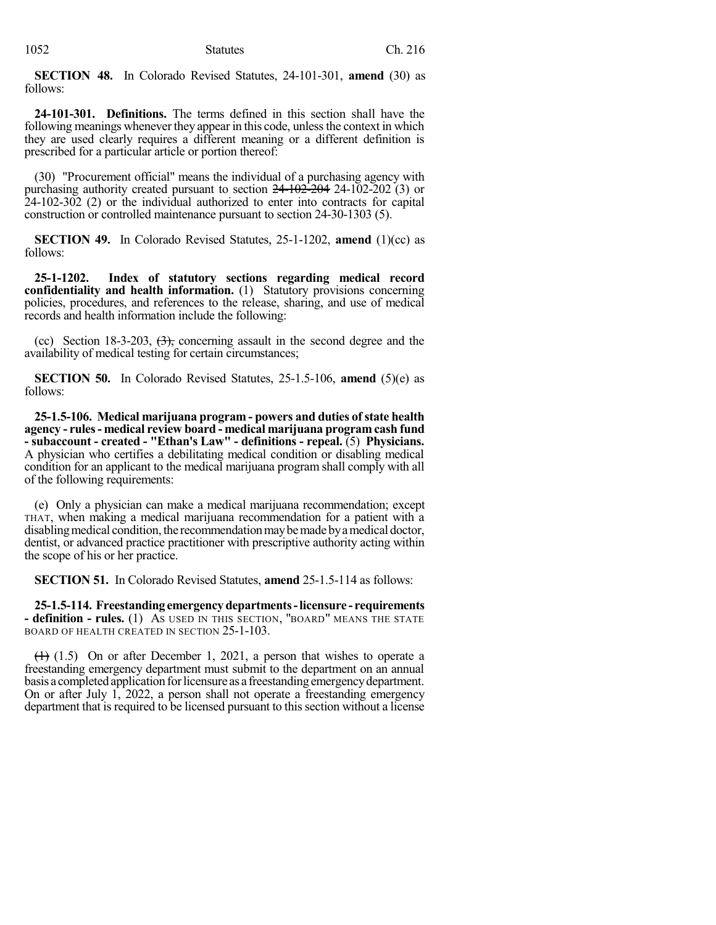**SECTION 48.** In Colorado Revised Statutes, 24-101-301, **amend** (30) as follows:

**24-101-301. Definitions.** The terms defined in this section shall have the following meanings whenever they appear in this code, unless the context in which they are used clearly requires a different meaning or a different definition is prescribed for a particular article or portion thereof:

(30) "Procurement official" means the individual of a purchasing agency with purchasing authority created pursuant to section  $24 - 102 - 204$  (3) or 24-102-302 (2) or the individual authorized to enter into contracts for capital construction or controlled maintenance pursuant to section 24-30-1303 (5).

**SECTION 49.** In Colorado Revised Statutes, 25-1-1202, **amend** (1)(cc) as follows:

**25-1-1202. Index of statutory sections regarding medical record confidentiality and health information.** (1) Statutory provisions concerning policies, procedures, and references to the release, sharing, and use of medical records and health information include the following:

(cc) Section 18-3-203,  $\left(\frac{1}{2}\right)$ , concerning assault in the second degree and the availability of medical testing for certain circumstances;

**SECTION 50.** In Colorado Revised Statutes, 25-1.5-106, **amend** (5)(e) as follows:

**25-1.5-106. Medical marijuana program - powers and duties ofstate health agency - rules- medical review board - medical marijuana program cash fund - subaccount - created - "Ethan's Law" - definitions - repeal.** (5) **Physicians.** A physician who certifies a debilitating medical condition or disabling medical condition for an applicant to the medical marijuana program shall comply with all of the following requirements:

(e) Only a physician can make a medical marijuana recommendation; except THAT, when making a medical marijuana recommendation for a patient with a disabling medical condition, the recommendation may be made by a medical doctor, dentist, or advanced practice practitioner with prescriptive authority acting within the scope of his or her practice.

**SECTION 51.** In Colorado Revised Statutes, **amend** 25-1.5-114 as follows:

**25-1.5-114. Freestanding emergencydepartments-licensure - requirements - definition - rules.** (1) AS USED IN THIS SECTION, "BOARD" MEANS THE STATE BOARD OF HEALTH CREATED IN SECTION 25-1-103.

 $(1)$  (1.5) On or after December 1, 2021, a person that wishes to operate a freestanding emergency department must submit to the department on an annual basis a completed application for licensure as a freestanding emergency department. On or after July 1, 2022, a person shall not operate a freestanding emergency department that is required to be licensed pursuant to this section without a license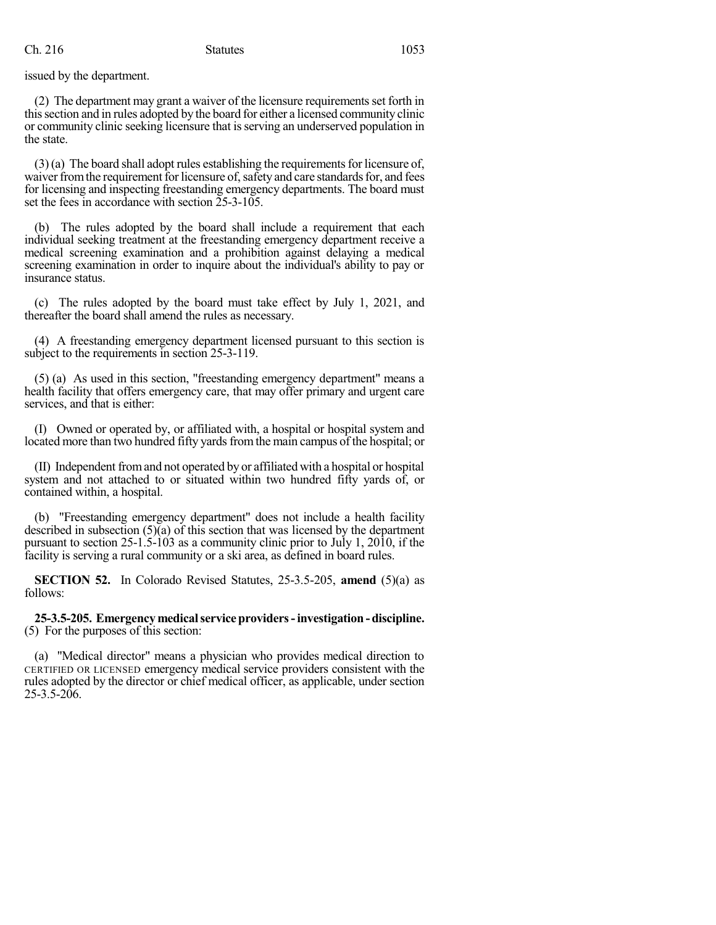issued by the department.

(2) The department may grant a waiver of the licensure requirementsset forth in thissection and in rules adopted by the board for either a licensed community clinic or community clinic seeking licensure that isserving an underserved population in the state.

 $(3)(a)$  The board shall adopt rules establishing the requirements for licensure of, waiver from the requirement for licensure of, safety and care standards for, and fees for licensing and inspecting freestanding emergency departments. The board must set the fees in accordance with section  $25-3-105$ .

(b) The rules adopted by the board shall include a requirement that each individual seeking treatment at the freestanding emergency department receive a medical screening examination and a prohibition against delaying a medical screening examination in order to inquire about the individual's ability to pay or insurance status.

(c) The rules adopted by the board must take effect by July 1, 2021, and thereafter the board shall amend the rules as necessary.

(4) A freestanding emergency department licensed pursuant to this section is subject to the requirements in section 25-3-119.

(5) (a) As used in this section, "freestanding emergency department" means a health facility that offers emergency care, that may offer primary and urgent care services, and that is either:

(I) Owned or operated by, or affiliated with, a hospital or hospital system and located more than two hundred fifty yards from the main campus of the hospital; or

(II) Independent fromand not operated by or affiliated with a hospital or hospital system and not attached to or situated within two hundred fifty yards of, or contained within, a hospital.

(b) "Freestanding emergency department" does not include a health facility described in subsection (5)(a) of this section that was licensed by the department pursuant to section 25-1.5-103 as a community clinic prior to July 1, 2010, if the facility is serving a rural community or a ski area, as defined in board rules.

**SECTION 52.** In Colorado Revised Statutes, 25-3.5-205, **amend** (5)(a) as follows:

#### **25-3.5-205. Emergencymedicalserviceproviders-investigation-discipline.** (5) For the purposes of this section:

(a) "Medical director" means a physician who provides medical direction to CERTIFIED OR LICENSED emergency medical service providers consistent with the rules adopted by the director or chief medical officer, as applicable, under section  $25 - 3.5 - 206$ .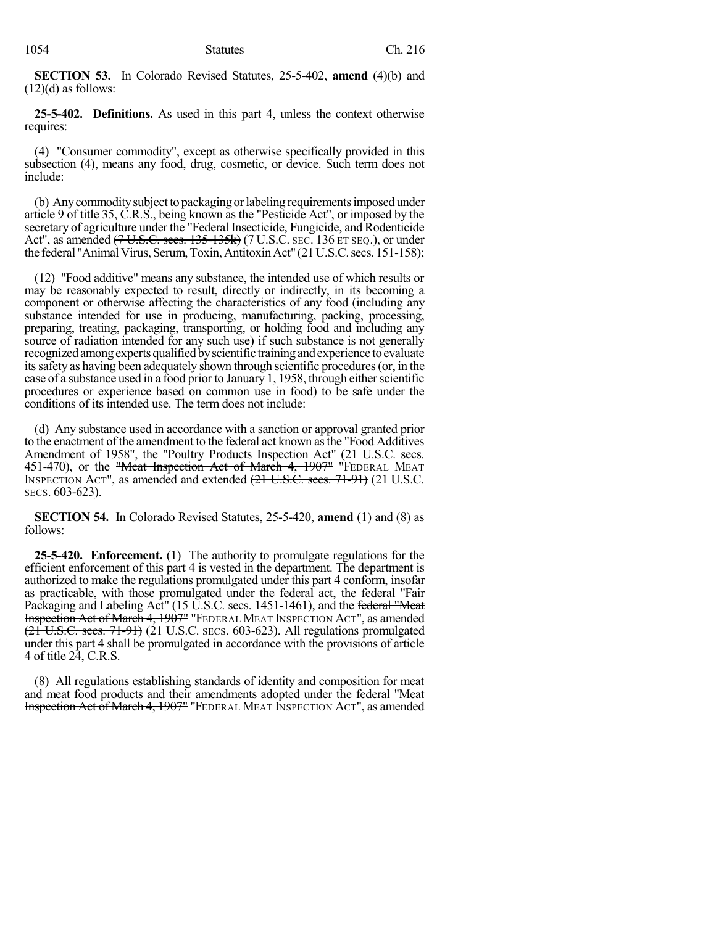**SECTION 53.** In Colorado Revised Statutes, 25-5-402, **amend** (4)(b) and  $(12)(d)$  as follows:

**25-5-402. Definitions.** As used in this part 4, unless the context otherwise requires:

(4) "Consumer commodity", except as otherwise specifically provided in this subsection (4), means any food, drug, cosmetic, or device. Such term does not include:

(b) Any commodity subject to packaging or labeling requirements imposed under article 9 of title 35, C.R.S., being known as the "Pesticide Act", or imposed by the secretary of agriculture under the "Federal Insecticide, Fungicide, and Rodenticide Act", as amended  $(7 \text{ U.S.C. } \text{secs. } 135 - 135 \text{k})$  (7 U.S.C. SEC. 136 ET SEQ.), or under the federal "Animal Virus, Serum, Toxin, Antitoxin Act" (21 U.S.C. secs. 151-158);

(12) "Food additive" means any substance, the intended use of which results or may be reasonably expected to result, directly or indirectly, in its becoming a component or otherwise affecting the characteristics of any food (including any substance intended for use in producing, manufacturing, packing, processing, preparing, treating, packaging, transporting, or holding food and including any source of radiation intended for any such use) if such substance is not generally recognized among experts qualified by scientific training and experience to evaluate itssafety as having been adequately shown through scientific procedures(or, in the case of a substance used in a food prior to January 1, 1958, through either scientific procedures or experience based on common use in food) to be safe under the conditions of its intended use. The term does not include:

(d) Any substance used in accordance with a sanction or approval granted prior to the enactment of the amendment to the federal act known as the "Food Additives" Amendment of 1958", the "Poultry Products Inspection Act" (21 U.S.C. secs. 451-470), or the "Meat Inspection Act of March 4, 1907" "FEDERAL MEAT INSPECTION ACT", as amended and extended (21 U.S.C. secs. 71-91) (21 U.S.C. SECS. 603-623).

**SECTION 54.** In Colorado Revised Statutes, 25-5-420, **amend** (1) and (8) as follows:

**25-5-420. Enforcement.** (1) The authority to promulgate regulations for the efficient enforcement of this part 4 is vested in the department. The department is authorized to make the regulations promulgated under this part 4 conform, insofar as practicable, with those promulgated under the federal act, the federal "Fair Packaging and Labeling Act" (15 U.S.C. secs. 1451-1461), and the federal "Meat Inspection Act of March 4, 1907" "FEDERAL MEAT INSPECTION ACT", as amended  $(21 \text{ U.S.C. }$  secs.  $71-91$ ) (21 U.S.C. secs. 603-623). All regulations promulgated under this part 4 shall be promulgated in accordance with the provisions of article 4 of title 24, C.R.S.

(8) All regulations establishing standards of identity and composition for meat and meat food products and their amendments adopted under the federal "Meat Inspection Act of March 4, 1907" "FEDERAL MEAT INSPECTION ACT", as amended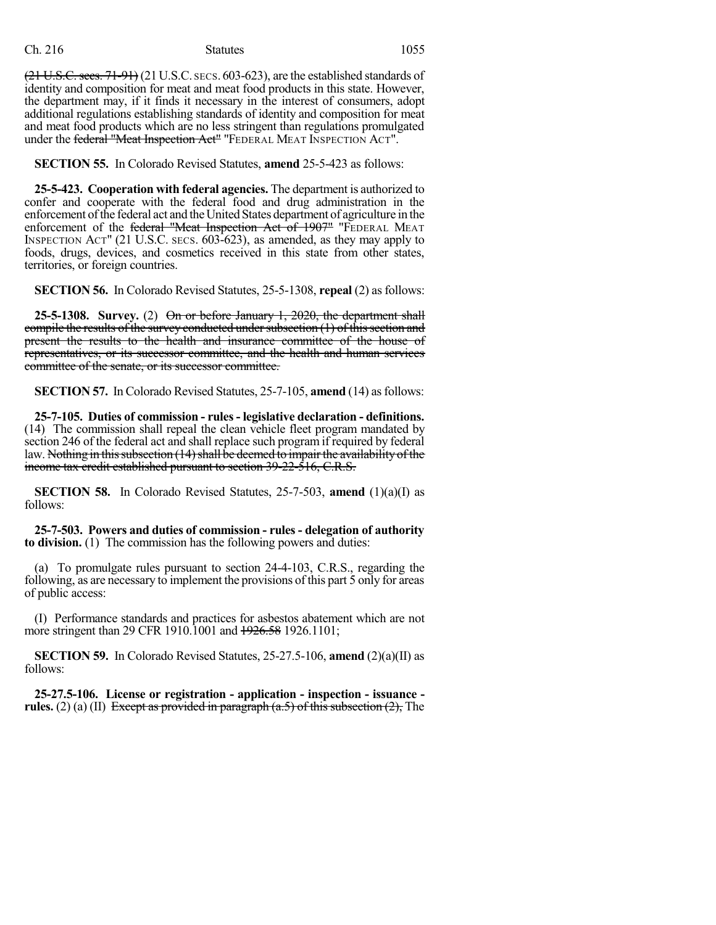#### Ch. 216 Statutes 1055

 $(21$  U.S.C. secs.  $71-91$ ) (21 U.S.C. secs. 603-623), are the established standards of identity and composition for meat and meat food products in this state. However, the department may, if it finds it necessary in the interest of consumers, adopt additional regulations establishing standards of identity and composition for meat and meat food products which are no less stringent than regulations promulgated under the federal "Meat Inspection Act" "FEDERAL MEAT INSPECTION ACT".

**SECTION 55.** In Colorado Revised Statutes, **amend** 25-5-423 as follows:

**25-5-423. Cooperation with federal agencies.** The department is authorized to confer and cooperate with the federal food and drug administration in the enforcement of the federal act and the United States department of agriculture in the enforcement of the federal "Meat Inspection Act of 1907" "FEDERAL MEAT INSPECTION ACT" (21 U.S.C. SECS. 603-623), as amended, as they may apply to foods, drugs, devices, and cosmetics received in this state from other states, territories, or foreign countries.

**SECTION 56.** In Colorado Revised Statutes, 25-5-1308, **repeal** (2) as follows:

**25-5-1308. Survey.** (2) On or before January 1, 2020, the department shall compile the results of the survey conducted under subsection  $(1)$  of this section and present the results to the health and insurance committee of the house of representatives, or its successor committee, and the health and human services committee of the senate, or its successor committee.

**SECTION 57.** In Colorado Revised Statutes, 25-7-105, **amend** (14) as follows:

**25-7-105. Duties of commission - rules- legislative declaration - definitions.** (14) The commission shall repeal the clean vehicle fleet program mandated by section 246 of the federal act and shall replace such program if required by federal law. Nothing in this subsection (14) shall be deemed to impair the availability of the income tax credit established pursuant to section 39-22-516, C.R.S.

**SECTION 58.** In Colorado Revised Statutes, 25-7-503, **amend** (1)(a)(I) as follows:

**25-7-503. Powers and duties of commission - rules - delegation of authority to division.** (1) The commission has the following powers and duties:

(a) To promulgate rules pursuant to section 24-4-103, C.R.S., regarding the following, as are necessary to implement the provisions of this part 5 only for areas of public access:

(I) Performance standards and practices for asbestos abatement which are not more stringent than 29 CFR 1910.1001 and 1926.58 1926.1101;

**SECTION 59.** In Colorado Revised Statutes, 25-27.5-106, **amend** (2)(a)(II) as follows:

**25-27.5-106. License or registration - application - inspection - issuance rules.** (2) (a) (II) Except as provided in paragraph  $(a.5)$  of this subsection  $(2)$ . The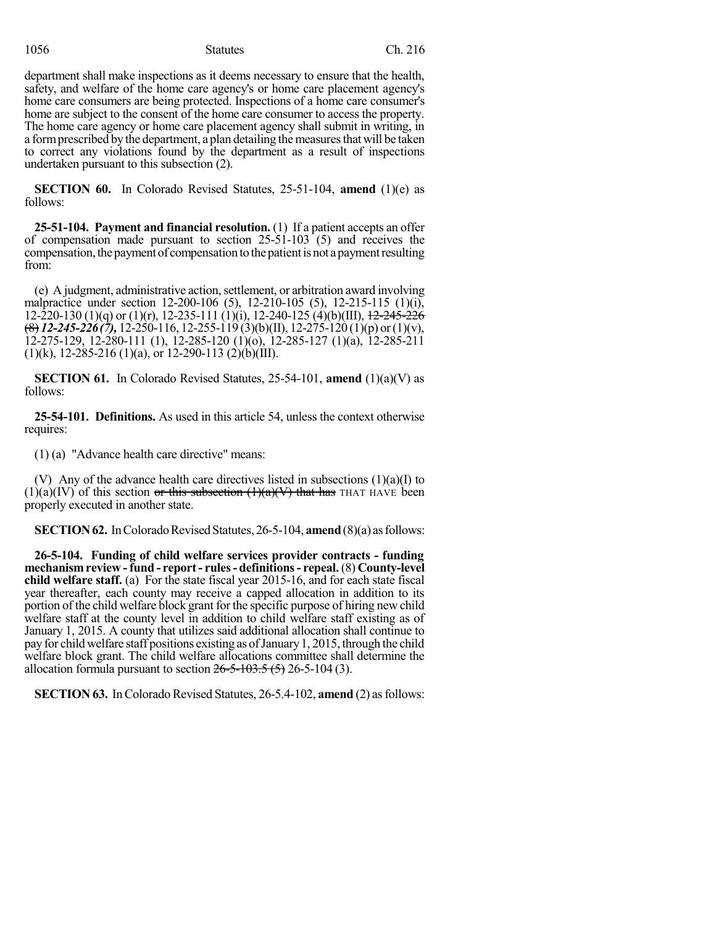1056 Statutes Ch. 216

department shall make inspections as it deems necessary to ensure that the health, safety, and welfare of the home care agency's or home care placement agency's home care consumers are being protected. Inspections of a home care consumer's home are subject to the consent of the home care consumer to access the property. The home care agency or home care placement agency shall submit in writing, in a form prescribed by the department, a plan detailing the measures that will be taken to correct any violations found by the department as a result of inspections undertaken pursuant to this subsection (2).

**SECTION 60.** In Colorado Revised Statutes, 25-51-104, **amend** (1)(e) as follows:

**25-51-104. Payment and financial resolution.** (1) If a patient accepts an offer of compensation made pursuant to section 25-51-103 (5) and receives the compensation, the payment of compensation to the patient is not a payment resulting from:

(e) A judgment, administrative action, settlement, or arbitration award involving malpractice under section 12-200-106 (5), 12-210-105 (5), 12-215-115 (1)(i), 12-220-130 (1)(q) or (1)(r), 12-235-111 (1)(i), 12-240-125 (4)(b)(III),  $\frac{12-245-226}{2}$ (8) *12-245-226(7),* 12-250-116, 12-255-119 (3)(b)(II), 12-275-120 (1)(p) or(1)(v),  $12-275-129$ ,  $12-280-111$  (1),  $12-285-120$  (1)(o),  $12-285-127$  (1)(a),  $12-285-211$  $(1)(k)$ , 12-285-216  $(1)(a)$ , or 12-290-113  $(2)(b)(III)$ .

**SECTION 61.** In Colorado Revised Statutes, 25-54-101, **amend** (1)(a)(V) as follows:

**25-54-101. Definitions.** As used in this article 54, unless the context otherwise requires:

(1) (a) "Advance health care directive" means:

(V) Any of the advance health care directives listed in subsections (1)(a)(I) to  $(1)(a)(IV)$  of this section or this subsection  $(1)(a)(V)$  that has THAT HAVE been properly executed in another state.

**SECTION 62.** In Colorado Revised Statutes, 26-5-104, **amend** (8)(a) as follows:

**26-5-104. Funding of child welfare services provider contracts - funding mechanismreview -fund - report- rules- definitions- repeal.**(8) **County-level child welfare staff.** (a) For the state fiscal year 2015-16, and for each state fiscal year thereafter, each county may receive a capped allocation in addition to its portion of the child welfare block grant for the specific purpose of hiring new child welfare staff at the county level in addition to child welfare staff existing as of January 1, 2015. A county that utilizes said additional allocation shall continue to payfor child welfare staff positions existing as ofJanuary1, 2015, through the child welfare block grant. The child welfare allocations committee shall determine the allocation formula pursuant to section  $26 - 5 - 103.5$  (5) 26-5-104 (3).

**SECTION 63.** In Colorado Revised Statutes, 26-5.4-102, **amend** (2) as follows: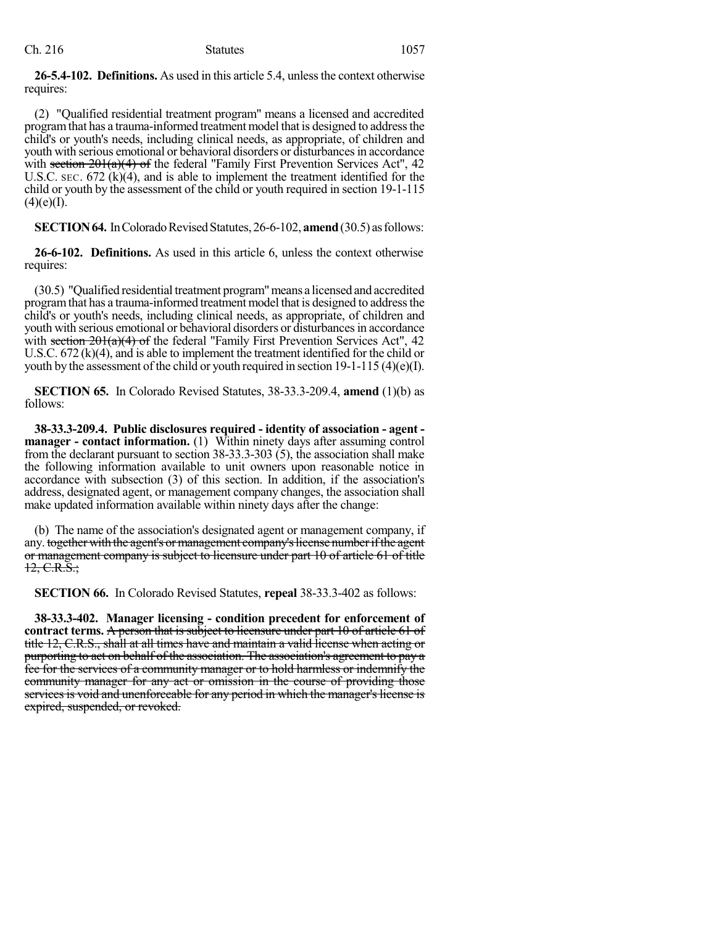### Ch. 216 Statutes 1057

**26-5.4-102. Definitions.** As used in this article 5.4, unlessthe context otherwise requires:

(2) "Qualified residential treatment program" means a licensed and accredited program that has a trauma-informed treatment model that is designed to address the child's or youth's needs, including clinical needs, as appropriate, of children and youth with serious emotional or behavioral disorders or disturbances in accordance with section  $201(a)(4)$  of the federal "Family First Prevention Services Act", 42 U.S.C. SEC. 672 (k)(4), and is able to implement the treatment identified for the child or youth by the assessment of the child or youth required in section 19-1-115  $(4)(e)$ (I).

**SECTION 64.** In Colorado Revised Statutes, 26-6-102, **amend** (30.5) as follows:

**26-6-102. Definitions.** As used in this article 6, unless the context otherwise requires:

(30.5) "Qualified residential treatment program"means a licensed and accredited program that has a trauma-informed treatment model that is designed to address the child's or youth's needs, including clinical needs, as appropriate, of children and youth with serious emotional or behavioral disorders or disturbances in accordance with section  $201(a)(4)$  of the federal "Family First Prevention Services Act", 42 U.S.C. 672 (k)(4), and is able to implement the treatment identified for the child or youth by the assessment of the child or youth required in section 19-1-115 (4)(e)(I).

**SECTION 65.** In Colorado Revised Statutes, 38-33.3-209.4, **amend** (1)(b) as follows:

**38-33.3-209.4. Public disclosures required - identity of association - agent manager - contact information.** (1) Within ninety days after assuming control from the declarant pursuant to section 38-33.3-303 (5), the association shall make the following information available to unit owners upon reasonable notice in accordance with subsection (3) of this section. In addition, if the association's address, designated agent, or management company changes, the association shall make updated information available within ninety days after the change:

(b) The name of the association's designated agent or management company, if any. together with the agent's or management company's license number if the agent or management company is subject to licensure under part 10 of article 61 of title  $12, C.R.S.$ ;

**SECTION 66.** In Colorado Revised Statutes, **repeal** 38-33.3-402 as follows:

**38-33.3-402. Manager licensing - condition precedent for enforcement of contract terms.** A person that is subject to licensure under part 10 of article 61 of title 12, C.R.S., shall at all times have and maintain a valid license when acting or purporting to act on behalf of the association. The association's agreement to pay a fee for the services of a community manager or to hold harmless or indemnify the community manager for any act or omission in the course of providing those services is void and unenforceable for any period in which the manager's license is expired, suspended, or revoked.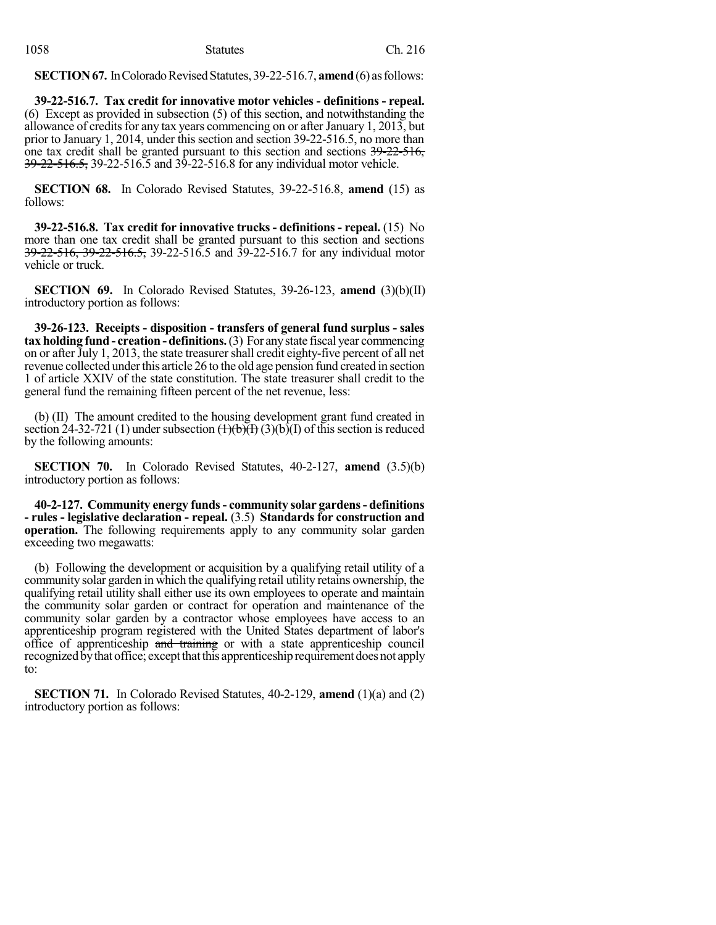**SECTION 67.** In Colorado Revised Statutes, 39-22-516.7, **amend** (6) as follows:

**39-22-516.7. Tax credit for innovative motor vehicles - definitions - repeal.** (6) Except as provided in subsection (5) of this section, and notwithstanding the allowance of credits for any tax years commencing on or after January 1, 2013, but prior to January 1, 2014, under this section and section 39-22-516.5, no more than one tax credit shall be granted pursuant to this section and sections 39-22-516, 39-22-516.5, 39-22-516.5 and 39-22-516.8 for any individual motor vehicle.

**SECTION 68.** In Colorado Revised Statutes, 39-22-516.8, **amend** (15) as follows:

**39-22-516.8. Tax credit for innovative trucks - definitions - repeal.** (15) No more than one tax credit shall be granted pursuant to this section and sections 39-22-516, 39-22-516.5, 39-22-516.5 and 39-22-516.7 for any individual motor vehicle or truck.

**SECTION 69.** In Colorado Revised Statutes, 39-26-123, **amend** (3)(b)(II) introductory portion as follows:

**39-26-123. Receipts - disposition - transfers of general fund surplus - sales tax holding fund - creation-definitions.**(3) For anystate fiscal year commencing on or after July 1, 2013, the state treasurer shall credit eighty-five percent of all net revenue collected under this article 26 to the old age pension fund created in section 1 of article XXIV of the state constitution. The state treasurer shall credit to the general fund the remaining fifteen percent of the net revenue, less:

(b) (II) The amount credited to the housing development grant fund created in section 24-32-721 (1) under subsection  $\left(\frac{1}{b}\right)\left(\frac{1}{b}\right)$  (3)(b)(I) of this section is reduced by the following amounts:

**SECTION 70.** In Colorado Revised Statutes, 40-2-127, **amend** (3.5)(b) introductory portion as follows:

**40-2-127. Community energy funds- community solar gardens- definitions - rules - legislative declaration - repeal.** (3.5) **Standards for construction and operation.** The following requirements apply to any community solar garden exceeding two megawatts:

(b) Following the development or acquisition by a qualifying retail utility of a community solar garden in which the qualifying retail utility retains ownership, the qualifying retail utility shall either use its own employees to operate and maintain the community solar garden or contract for operation and maintenance of the community solar garden by a contractor whose employees have access to an apprenticeship program registered with the United States department of labor's office of apprenticeship and training or with a state apprenticeship council recognizedbythat office; exceptthatthis apprenticeshiprequirement doesnot apply to:

**SECTION 71.** In Colorado Revised Statutes, 40-2-129, **amend** (1)(a) and (2) introductory portion as follows: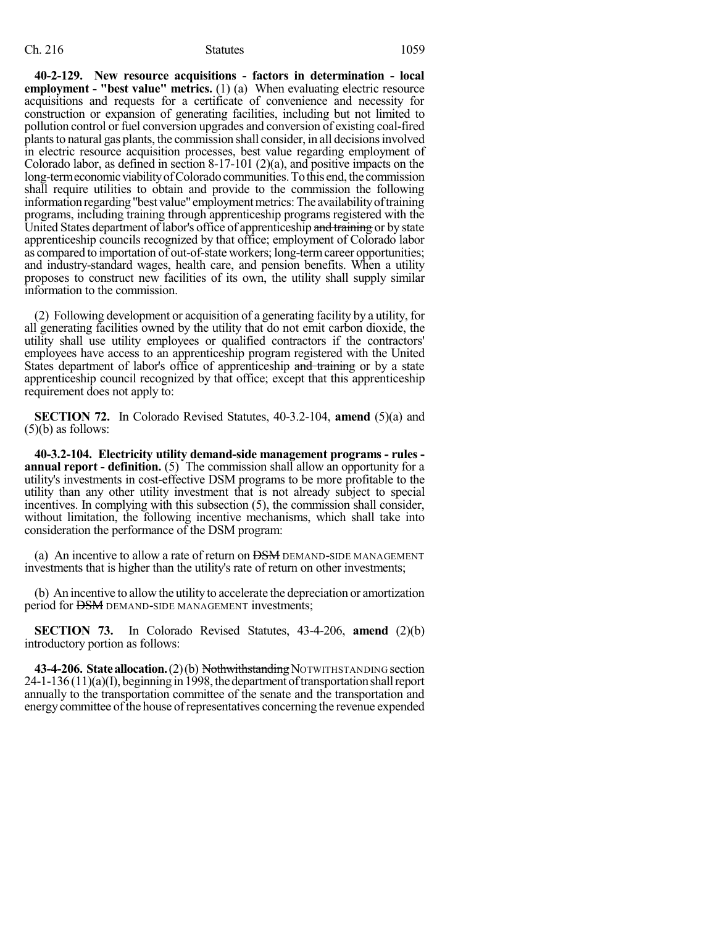#### Ch. 216 Statutes 1059

**40-2-129. New resource acquisitions - factors in determination - local employment - "best value" metrics.** (1) (a) When evaluating electric resource acquisitions and requests for a certificate of convenience and necessity for construction or expansion of generating facilities, including but not limited to pollution control or fuel conversion upgrades and conversion of existing coal-fired plants to natural gas plants, the commission shall consider, in all decisions involved in electric resource acquisition processes, best value regarding employment of Colorado labor, as defined in section 8-17-101 (2)(a), and positive impacts on the long-termeconomic viability of Colorado communities. To this end, the commission shall require utilities to obtain and provide to the commission the following information regarding "best value" employment metrics: The availability of training programs, including training through apprenticeship programs registered with the United States department of labor's office of apprenticeship and training or by state apprenticeship councils recognized by that office; employment of Colorado labor as compared to importation of out-of-state workers; long-termcareer opportunities; and industry-standard wages, health care, and pension benefits. When a utility proposes to construct new facilities of its own, the utility shall supply similar information to the commission.

(2) Following development or acquisition of a generating facility by a utility, for all generating facilities owned by the utility that do not emit carbon dioxide, the utility shall use utility employees or qualified contractors if the contractors' employees have access to an apprenticeship program registered with the United States department of labor's office of apprenticeship and training or by a state apprenticeship council recognized by that office; except that this apprenticeship requirement does not apply to:

**SECTION 72.** In Colorado Revised Statutes, 40-3.2-104, **amend** (5)(a) and  $(5)(b)$  as follows:

**40-3.2-104. Electricity utility demand-side management programs - rules annual report - definition.** (5) The commission shall allow an opportunity for a utility's investments in cost-effective DSM programs to be more profitable to the utility than any other utility investment that is not already subject to special incentives. In complying with this subsection (5), the commission shall consider, without limitation, the following incentive mechanisms, which shall take into consideration the performance of the DSM program:

(a) An incentive to allow a rate of return on  $\overline{DSM}$  DEMAND-SIDE MANAGEMENT investments that is higher than the utility's rate of return on other investments;

(b) An incentive to allowthe utility to accelerate the depreciation or amortization period for **DSM** DEMAND-SIDE MANAGEMENT investments;

**SECTION 73.** In Colorado Revised Statutes, 43-4-206, **amend** (2)(b) introductory portion as follows:

**43-4-206. State allocation.** (2)(b) Nothwithstanding NOTWITHSTANDING section  $24-1-136(11)(a)$ (I), beginning in 1998, the department of transportation shall report annually to the transportation committee of the senate and the transportation and energy committee of the house of representatives concerning the revenue expended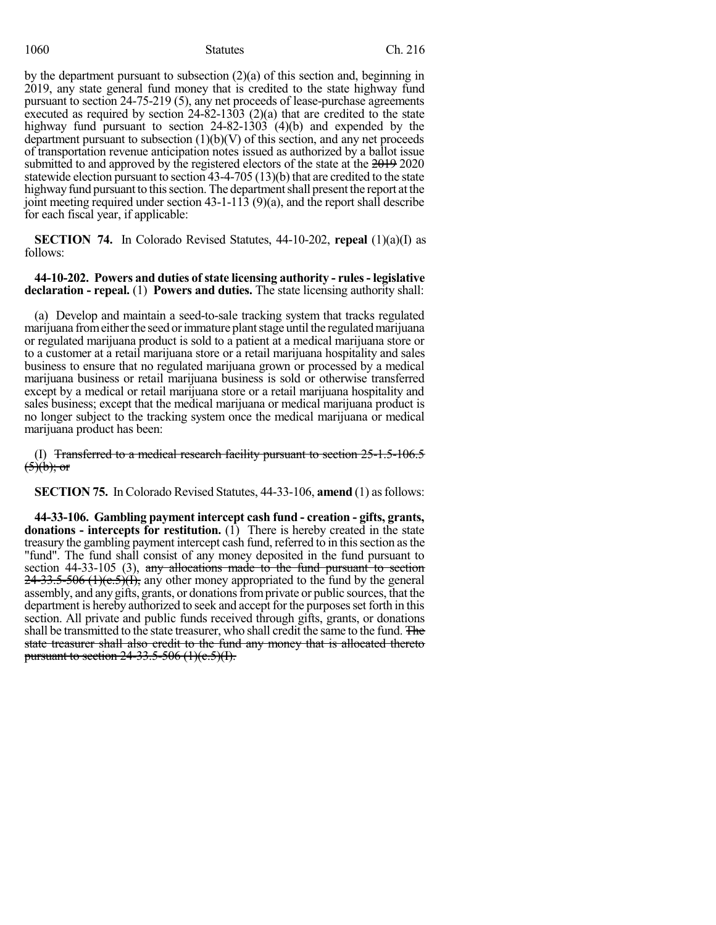#### 1060 Statutes Ch. 216

by the department pursuant to subsection (2)(a) of this section and, beginning in 2019, any state general fund money that is credited to the state highway fund pursuant to section 24-75-219 (5), any net proceeds of lease-purchase agreements executed as required by section 24-82-1303 (2)(a) that are credited to the state highway fund pursuant to section 24-82-1303 (4)(b) and expended by the department pursuant to subsection  $(1)(b)(V)$  of this section, and any net proceeds of transportation revenue anticipation notes issued as authorized by a ballot issue submitted to and approved by the registered electors of the state at the 2019 2020 statewide election pursuant to section 43-4-705 (13)(b) that are credited to the state highway fund pursuant to this section. The department shall present the report at the joint meeting required under section 43-1-113 (9)(a), and the report shall describe for each fiscal year, if applicable:

**SECTION 74.** In Colorado Revised Statutes, 44-10-202, **repeal** (1)(a)(I) as follows:

**44-10-202. Powers and duties ofstate licensing authority - rules- legislative declaration - repeal.** (1) **Powers and duties.** The state licensing authority shall:

(a) Develop and maintain a seed-to-sale tracking system that tracks regulated marijuana from either the seed or immature plant stage until the regulated marijuana or regulated marijuana product is sold to a patient at a medical marijuana store or to a customer at a retail marijuana store or a retail marijuana hospitality and sales business to ensure that no regulated marijuana grown or processed by a medical marijuana business or retail marijuana business is sold or otherwise transferred except by a medical or retail marijuana store or a retail marijuana hospitality and sales business; except that the medical marijuana or medical marijuana product is no longer subject to the tracking system once the medical marijuana or medical marijuana product has been:

(I) Transferred to a medical research facility pursuant to section 25-1.5-106.5  $(5)(b)$ ; or

**SECTION 75.** In Colorado Revised Statutes, 44-33-106, **amend** (1) as follows:

**44-33-106. Gambling payment intercept cash fund - creation - gifts, grants, donations - intercepts for restitution.** (1) There is hereby created in the state treasury the gambling payment intercept cash fund, referred to in this section as the "fund". The fund shall consist of any money deposited in the fund pursuant to section 44-33-105 (3), any allocations made to the fund pursuant to section  $24-33.5-506$  (1)(c.5)(I), any other money appropriated to the fund by the general assembly, and anygifts, grants, or donationsfromprivate or public sources, that the department is hereby authorized to seek and accept for the purposes set forth in this section. All private and public funds received through gifts, grants, or donations shall be transmitted to the state treasurer, who shall credit the same to the fund. The state treasurer shall also credit to the fund any money that is allocated thereto pursuant to section  $24-33.5-506$  (1)(c.5)(I).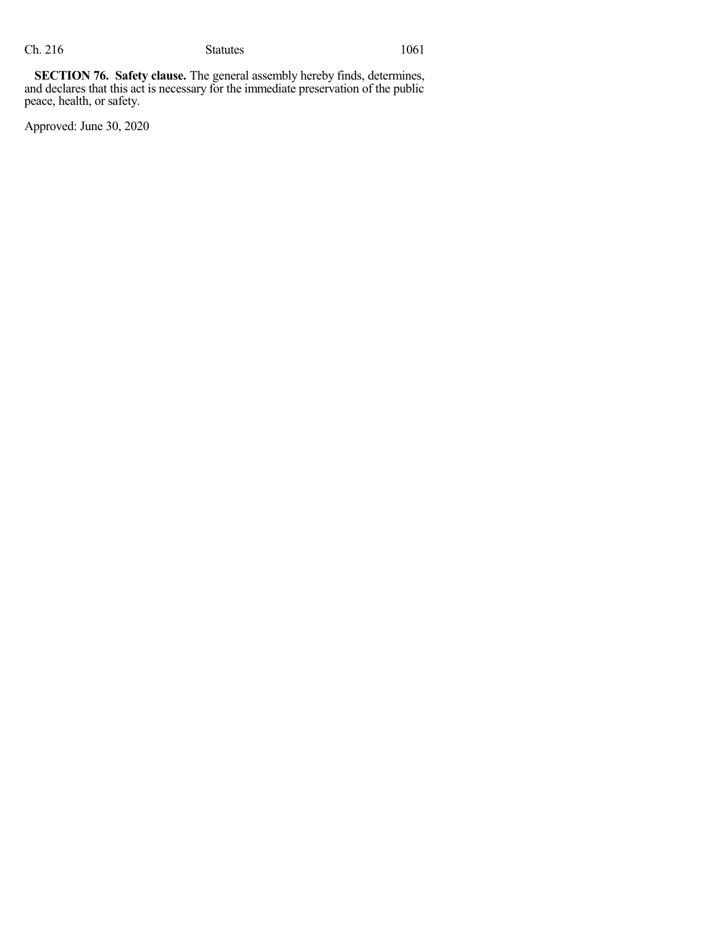**SECTION 76. Safety clause.** The general assembly hereby finds, determines, and declares that this act is necessary for the immediate preservation of the public peace, health, or safety.

Approved: June 30, 2020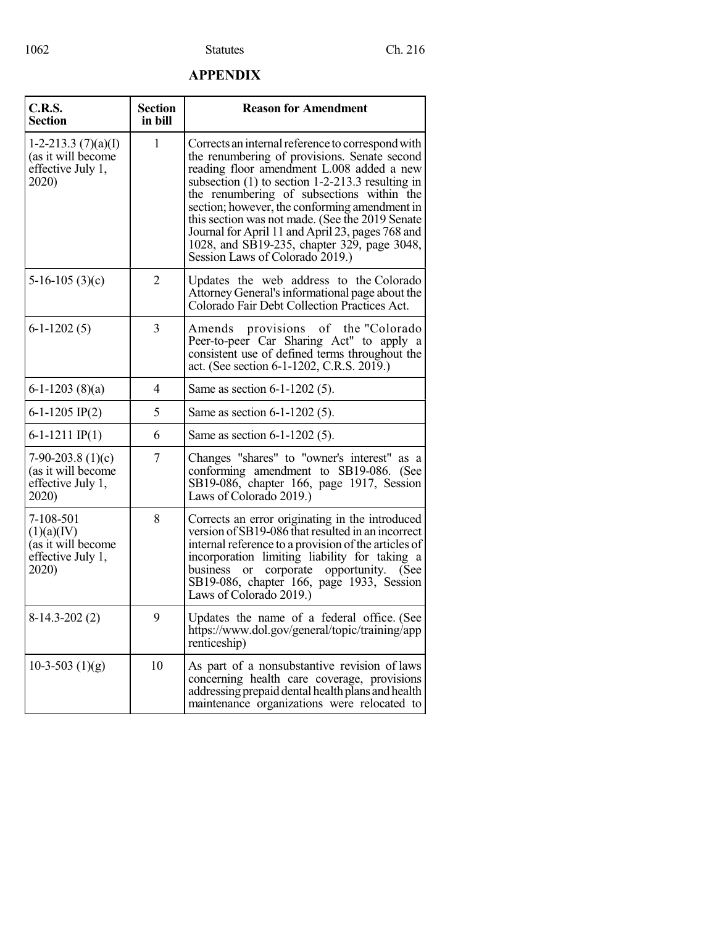## **APPENDIX**

| C.R.S.<br><b>Section</b>                                                    | <b>Section</b><br>in bill | <b>Reason for Amendment</b>                                                                                                                                                                                                                                                                                                                                                                                                                                                                 |  |
|-----------------------------------------------------------------------------|---------------------------|---------------------------------------------------------------------------------------------------------------------------------------------------------------------------------------------------------------------------------------------------------------------------------------------------------------------------------------------------------------------------------------------------------------------------------------------------------------------------------------------|--|
| 1-2-213.3 $(7)(a)(I)$<br>(as it will become<br>effective July 1,<br>2020)   | 1                         | Corrects an internal reference to correspond with<br>the renumbering of provisions. Senate second<br>reading floor amendment L.008 added a new<br>subsection $(1)$ to section 1-2-213.3 resulting in<br>the renumbering of subsections within the<br>section; however, the conforming amendment in<br>this section was not made. (See the 2019 Senate<br>Journal for April 11 and April 23, pages 768 and<br>1028, and SB19-235, chapter 329, page 3048,<br>Session Laws of Colorado 2019.) |  |
| $5-16-105(3)(c)$                                                            | 2                         | Updates the web address to the Colorado<br>Attorney General's informational page about the<br>Colorado Fair Debt Collection Practices Act.                                                                                                                                                                                                                                                                                                                                                  |  |
| $6-1-1202(5)$                                                               | 3                         | Amends provisions of the "Colorado"<br>Peer-to-peer Car Sharing Act" to apply a<br>consistent use of defined terms throughout the<br>act. (See section 6-1-1202, C.R.S. 2019.)                                                                                                                                                                                                                                                                                                              |  |
| $6-1-1203(8)(a)$                                                            | 4                         | Same as section 6-1-1202 (5).                                                                                                                                                                                                                                                                                                                                                                                                                                                               |  |
| 6-1-1205 IP(2)                                                              | 5                         | Same as section 6-1-1202 (5).                                                                                                                                                                                                                                                                                                                                                                                                                                                               |  |
| $6-1-1211$ IP(1)                                                            | 6                         | Same as section 6-1-1202 (5).                                                                                                                                                                                                                                                                                                                                                                                                                                                               |  |
| $7-90-203.8(1)(c)$<br>(as it will become<br>effective July 1,<br>2020)      | 7                         | Changes "shares" to "owner's interest" as a<br>conforming amendment to SB19-086. (See<br>SB19-086, chapter 166, page 1917, Session<br>Laws of Colorado 2019.)                                                                                                                                                                                                                                                                                                                               |  |
| 7-108-501<br>(1)(a)(IV)<br>(as it will become<br>effective July 1,<br>2020) | 8                         | Corrects an error originating in the introduced<br>version of SB19-086 that resulted in an incorrect<br>internal reference to a provision of the articles of<br>incorporation limiting liability for taking a<br>or corporate opportunity. (See<br>business<br>SB19-086, chapter 166, page 1933, Session<br>Laws of Colorado 2019.)                                                                                                                                                         |  |
| $8-14.3-202(2)$                                                             | 9                         | Updates the name of a federal office. (See<br>https://www.dol.gov/general/topic/training/app<br>renticeship)                                                                                                                                                                                                                                                                                                                                                                                |  |
| 10-3-503 $(1)(g)$                                                           | 10                        | As part of a nonsubstantive revision of laws<br>concerning health care coverage, provisions<br>addressing prepaid dental health plans and health<br>maintenance organizations were relocated to                                                                                                                                                                                                                                                                                             |  |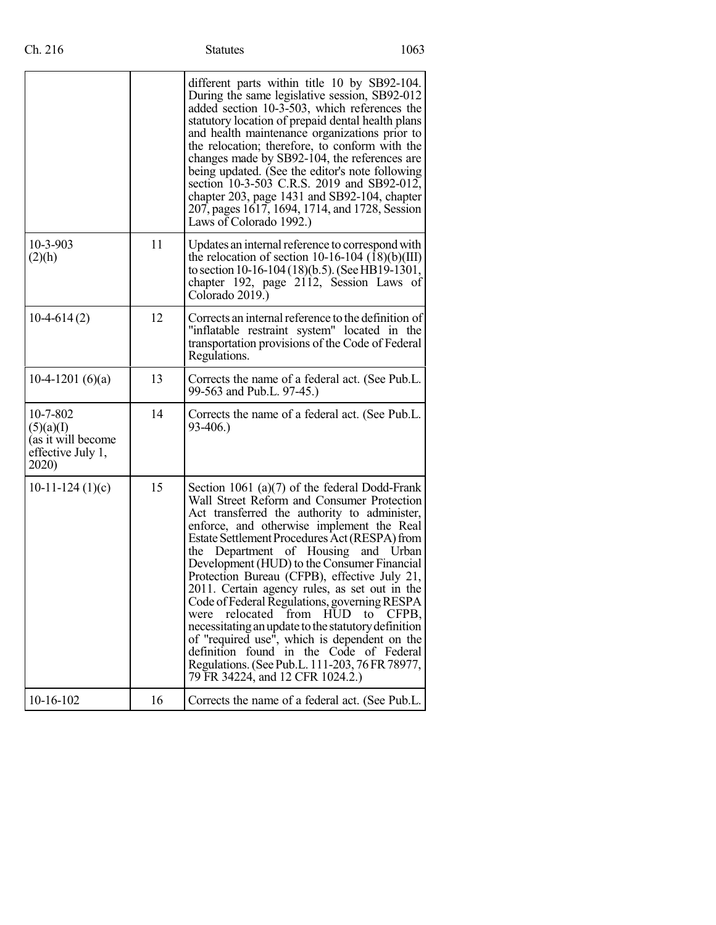|                                                                           |    | different parts within title 10 by SB92-104.<br>During the same legislative session, SB92-012<br>added section 10-3-503, which references the<br>statutory location of prepaid dental health plans<br>and health maintenance organizations prior to<br>the relocation; therefore, to conform with the<br>changes made by SB92-104, the references are<br>being updated. (See the editor's note following<br>section 10-3-503 C.R.S. 2019 and SB92-012,<br>chapter 203, page 1431 and SB92-104, chapter<br>207, pages 1617, 1694, 1714, and 1728, Session<br>Laws of Colorado 1992.)                                                                                                                                                                                                   |
|---------------------------------------------------------------------------|----|---------------------------------------------------------------------------------------------------------------------------------------------------------------------------------------------------------------------------------------------------------------------------------------------------------------------------------------------------------------------------------------------------------------------------------------------------------------------------------------------------------------------------------------------------------------------------------------------------------------------------------------------------------------------------------------------------------------------------------------------------------------------------------------|
| 10-3-903<br>(2)(h)                                                        | 11 | Updates an internal reference to correspond with<br>the relocation of section 10-16-104 $(\overline{18})(b)(III)$<br>to section 10-16-104 (18)(b.5). (See HB19-1301,<br>chapter 192, page 2112, Session Laws of<br>Colorado 2019.)                                                                                                                                                                                                                                                                                                                                                                                                                                                                                                                                                    |
| $10-4-614(2)$                                                             | 12 | Corrects an internal reference to the definition of<br>"inflatable restraint system" located in the<br>transportation provisions of the Code of Federal<br>Regulations.                                                                                                                                                                                                                                                                                                                                                                                                                                                                                                                                                                                                               |
| 10-4-1201 $(6)(a)$                                                        | 13 | Corrects the name of a federal act. (See Pub.L.<br>99-563 and Pub.L. 97-45.)                                                                                                                                                                                                                                                                                                                                                                                                                                                                                                                                                                                                                                                                                                          |
| 10-7-802<br>(5)(a)(I)<br>(as it will become<br>effective July 1,<br>2020) | 14 | Corrects the name of a federal act. (See Pub.L.<br>93-406.)                                                                                                                                                                                                                                                                                                                                                                                                                                                                                                                                                                                                                                                                                                                           |
| 10-11-124 $(1)(c)$                                                        | 15 | Section 1061 (a) $(7)$ of the federal Dodd-Frank<br>Wall Street Reform and Consumer Protection<br>Act transferred the authority to administer,<br>enforce, and otherwise implement the Real<br>Estate Settlement Procedures Act (RESPA) from<br>Department of Housing and Urban<br>the<br>Development (HUD) to the Consumer Financial<br>Protection Bureau (CFPB), effective July 21,<br>2011. Certain agency rules, as set out in the<br>Code of Federal Regulations, governing RESPA<br>relocated from<br>were<br><b>HUD</b><br>to<br>CFPB.<br>necessitating an update to the statutory definition<br>of "required use", which is dependent on the<br>definition found in the Code of Federal<br>Regulations. (See Pub.L. 111-203, 76 FR 78977,<br>79 FR 34224, and 12 CFR 1024.2.) |
| 10-16-102                                                                 | 16 | Corrects the name of a federal act. (See Pub.L.                                                                                                                                                                                                                                                                                                                                                                                                                                                                                                                                                                                                                                                                                                                                       |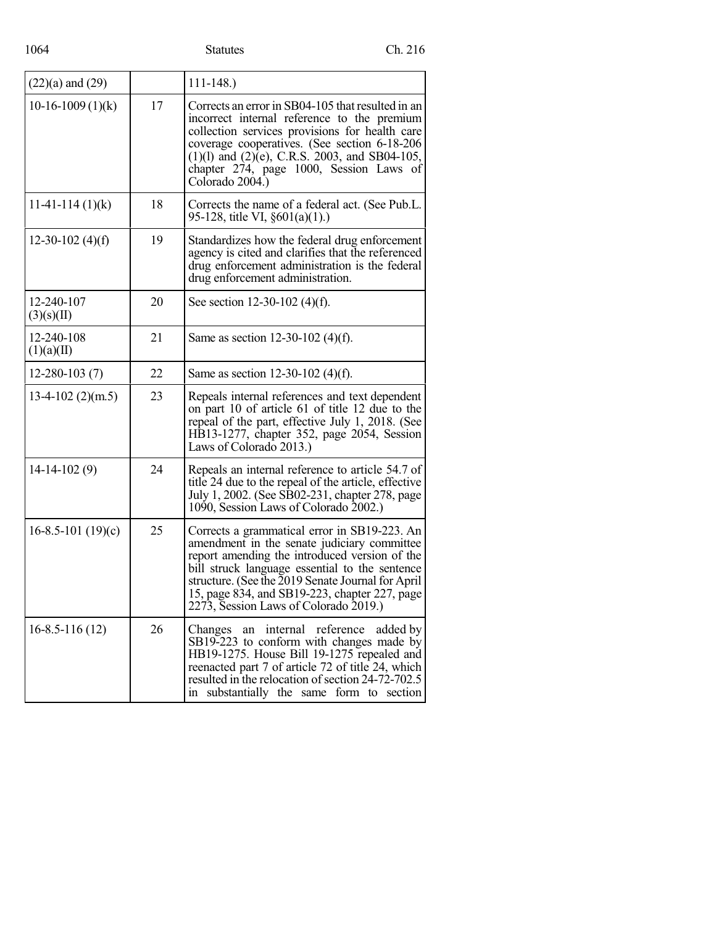| $(22)(a)$ and $(29)$     |    | $111 - 148.$                                                                                                                                                                                                                                                                                                                                  |  |
|--------------------------|----|-----------------------------------------------------------------------------------------------------------------------------------------------------------------------------------------------------------------------------------------------------------------------------------------------------------------------------------------------|--|
| $10-16-1009(1)(k)$       | 17 | Corrects an error in SB04-105 that resulted in an<br>incorrect internal reference to the premium<br>collection services provisions for health care<br>coverage cooperatives. (See section 6-18-206<br>$(1)(1)$ and $(2)(e)$ , C.R.S. 2003, and SB04-105,<br>chapter 274, page 1000, Session Laws of<br>Colorado 2004.)                        |  |
| $11-41-114(1)(k)$        | 18 | Corrects the name of a federal act. (See Pub.L.<br>95-128, title VI, §601(a)(1).)                                                                                                                                                                                                                                                             |  |
| 12-30-102 $(4)(f)$       | 19 | Standardizes how the federal drug enforcement<br>agency is cited and clarifies that the referenced<br>drug enforcement administration is the federal<br>drug enforcement administration.                                                                                                                                                      |  |
| 12-240-107<br>(3)(s)(II) | 20 | See section 12-30-102 (4)(f).                                                                                                                                                                                                                                                                                                                 |  |
| 12-240-108<br>(1)(a)(II) | 21 | Same as section 12-30-102 (4)(f).                                                                                                                                                                                                                                                                                                             |  |
| $12 - 280 - 103(7)$      | 22 | Same as section 12-30-102 (4)(f).                                                                                                                                                                                                                                                                                                             |  |
| $13-4-102$ (2)(m.5)      | 23 | Repeals internal references and text dependent<br>on part 10 of article 61 of title 12 due to the<br>repeal of the part, effective July 1, 2018. (See<br>HB13-1277, chapter 352, page 2054, Session<br>Laws of Colorado 2013.)                                                                                                                |  |
| $14-14-102(9)$           | 24 | Repeals an internal reference to article 54.7 of<br>title 24 due to the repeal of the article, effective<br>July 1, 2002. (See SB02-231, chapter 278, page<br>1090, Session Laws of Colorado 2002.)                                                                                                                                           |  |
| $16-8.5-101(19)(c)$      | 25 | Corrects a grammatical error in SB19-223. An<br>amendment in the senate judiciary committee<br>report amending the introduced version of the<br>bill struck language essential to the sentence<br>structure. (See the 2019 Senate Journal for April<br>15, page 834, and SB19-223, chapter 227, page<br>2273, Session Laws of Colorado 2019.) |  |
| $16 - 8.5 - 116(12)$     | 26 | an internal reference added by<br>Changes<br>SB19-223 to conform with changes made by<br>HB19-1275. House Bill 19-1275 repealed and<br>reenacted part 7 of article 72 of title 24, which<br>resulted in the relocation of section 24-72-702.5<br>in substantially the same form to section                                                    |  |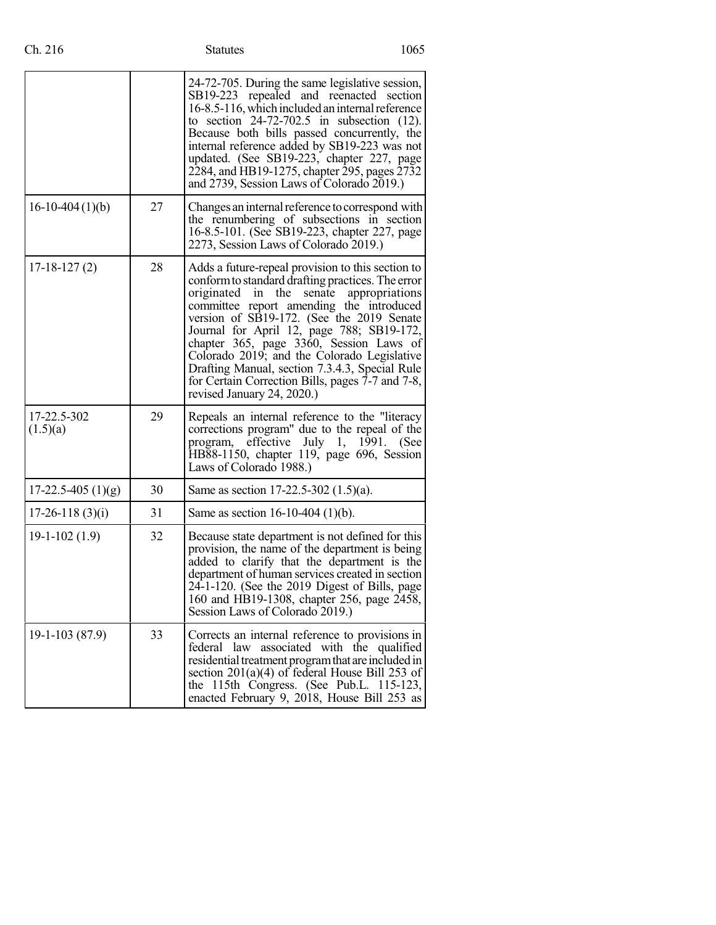|                         |    | 24-72-705. During the same legislative session,<br>SB19-223 repealed and reenacted section<br>16-8.5-116, which included an internal reference<br>to section $24-72-702.5$ in subsection $(12)$ .<br>Because both bills passed concurrently, the<br>internal reference added by SB19-223 was not<br>updated. (See SB19-223, chapter 227, page<br>2284, and HB19-1275, chapter 295, pages 2732<br>and 2739, Session Laws of Colorado 2019.)                                                                                        |  |
|-------------------------|----|-----------------------------------------------------------------------------------------------------------------------------------------------------------------------------------------------------------------------------------------------------------------------------------------------------------------------------------------------------------------------------------------------------------------------------------------------------------------------------------------------------------------------------------|--|
| $16-10-404(1)(b)$       | 27 | Changes an internal reference to correspond with<br>the renumbering of subsections in section<br>16-8.5-101. (See SB19-223, chapter 227, page<br>2273, Session Laws of Colorado 2019.)                                                                                                                                                                                                                                                                                                                                            |  |
| $17-18-127(2)$          | 28 | Adds a future-repeal provision to this section to<br>conform to standard drafting practices. The error<br>originated<br>the<br>in<br>senate<br>appropriations<br>committee report amending the introduced<br>version of SB19-172. (See the 2019 Senate<br>Journal for April 12, page 788; SB19-172,<br>chapter 365, page 3360, Session Laws of<br>Colorado 2019; and the Colorado Legislative<br>Drafting Manual, section 7.3.4.3, Special Rule<br>for Certain Correction Bills, pages 7-7 and 7-8,<br>revised January 24, 2020.) |  |
| 17-22.5-302<br>(1.5)(a) | 29 | Repeals an internal reference to the "literacy<br>corrections program" due to the repeal of the<br>program, effective July 1, 1991. (See<br>HB88-1150, chapter 119, page 696, Session<br>Laws of Colorado 1988.)                                                                                                                                                                                                                                                                                                                  |  |
| $17-22.5-405(1)(g)$     | 30 | Same as section 17-22.5-302 $(1.5)(a)$ .                                                                                                                                                                                                                                                                                                                                                                                                                                                                                          |  |
| $17-26-118(3)(i)$       | 31 | Same as section $16-10-404$ (1)(b).                                                                                                                                                                                                                                                                                                                                                                                                                                                                                               |  |
| $19-1-102(1.9)$         | 32 | Because state department is not defined for this<br>provision, the name of the department is being<br>added to clarify that the department is the<br>department of human services created in section<br>24-1-120. (See the 2019 Digest of Bills, page<br>160 and HB19-1308, chapter 256, page 2458,<br>Session Laws of Colorado 2019.)                                                                                                                                                                                            |  |
| $19-1-103(87.9)$        | 33 | Corrects an internal reference to provisions in<br>federal law associated with the qualified<br>residential treatment program that are included in<br>section 201(a)(4) of federal House Bill 253 of<br>the 115th Congress. (See Pub.L. 115-123,<br>enacted February 9, 2018, House Bill 253 as                                                                                                                                                                                                                                   |  |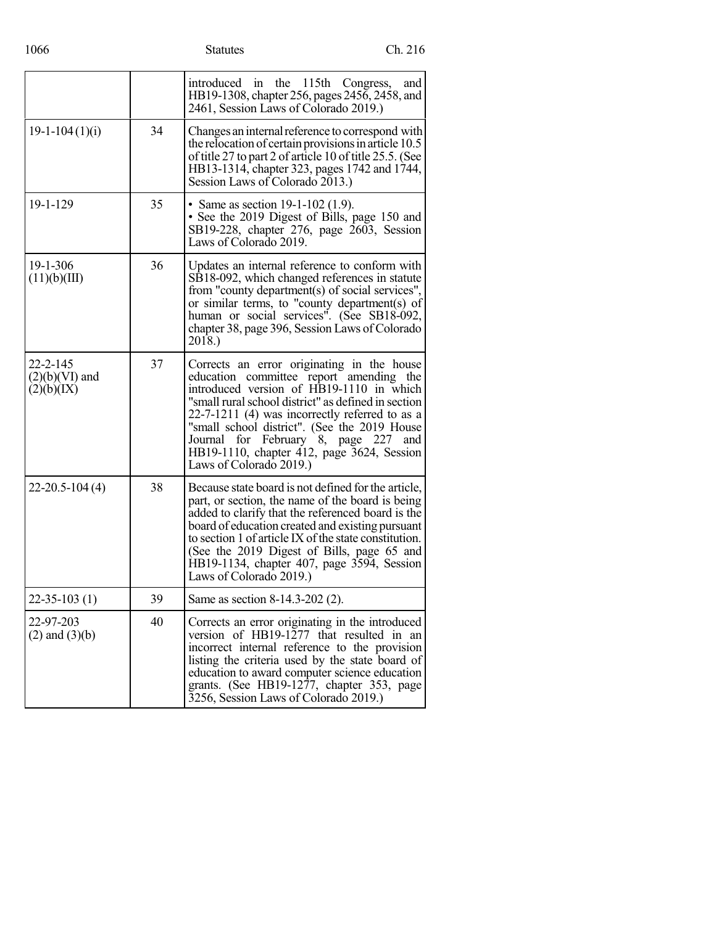1066 Statutes Ch. 216

|                                                  |    | introduced in the 115th Congress,<br>and<br>HB19-1308, chapter 256, pages 2456, 2458, and<br>2461, Session Laws of Colorado 2019.)                                                                                                                                                                                                                                                                                  |
|--------------------------------------------------|----|---------------------------------------------------------------------------------------------------------------------------------------------------------------------------------------------------------------------------------------------------------------------------------------------------------------------------------------------------------------------------------------------------------------------|
| $19-1-104(1)(i)$                                 | 34 | Changes an internal reference to correspond with<br>the relocation of certain provisions in article 10.5<br>of title 27 to part 2 of article 10 of title 25.5. (See<br>HB13-1314, chapter 323, pages 1742 and 1744,<br>Session Laws of Colorado 2013.)                                                                                                                                                              |
| 19-1-129                                         | 35 | • Same as section $19-1-102$ (1.9).<br>• See the 2019 Digest of Bills, page 150 and<br>SB19-228, chapter 276, page 2603, Session<br>Laws of Colorado 2019.                                                                                                                                                                                                                                                          |
| 19-1-306<br>(11)(b)(III)                         | 36 | Updates an internal reference to conform with<br>SB18-092, which changed references in statute<br>from "county department(s) of social services",<br>or similar terms, to "county department(s) of<br>human or social services". (See SB18-092,<br>chapter 38, page 396, Session Laws of Colorado<br>2018.)                                                                                                         |
| $22 - 2 - 145$<br>$(2)(b)(VI)$ and<br>(2)(b)(IX) | 37 | Corrects an error originating in the house<br>education committee report amending the<br>introduced version of HB19-1110 in which<br>"small rural school district" as defined in section<br>$22-7-1211$ (4) was incorrectly referred to as a<br>"small school district". (See the 2019 House<br>for February 8, page 227<br>Journal<br>and<br>HB19-1110, chapter 412, page 3624, Session<br>Laws of Colorado 2019.) |
| $22 - 20.5 - 104(4)$                             | 38 | Because state board is not defined for the article,<br>part, or section, the name of the board is being<br>added to clarify that the referenced board is the<br>board of education created and existing pursuant<br>to section 1 of article IX of the state constitution.<br>(See the 2019 Digest of Bills, page 65 and<br>HB19-1134, chapter 407, page 3594, Session<br>Laws of Colorado 2019.)                    |
| 22-35-103 (1)                                    | 39 | Same as section 8-14.3-202 (2).                                                                                                                                                                                                                                                                                                                                                                                     |
| 22-97-203<br>$(2)$ and $(3)(b)$                  | 40 | Corrects an error originating in the introduced<br>version of HB19-1277 that resulted in an<br>incorrect internal reference to the provision<br>listing the criteria used by the state board of<br>education to award computer science education<br>grants. (See HB19-1277, chapter 353, page<br>3256, Session Laws of Colorado 2019.)                                                                              |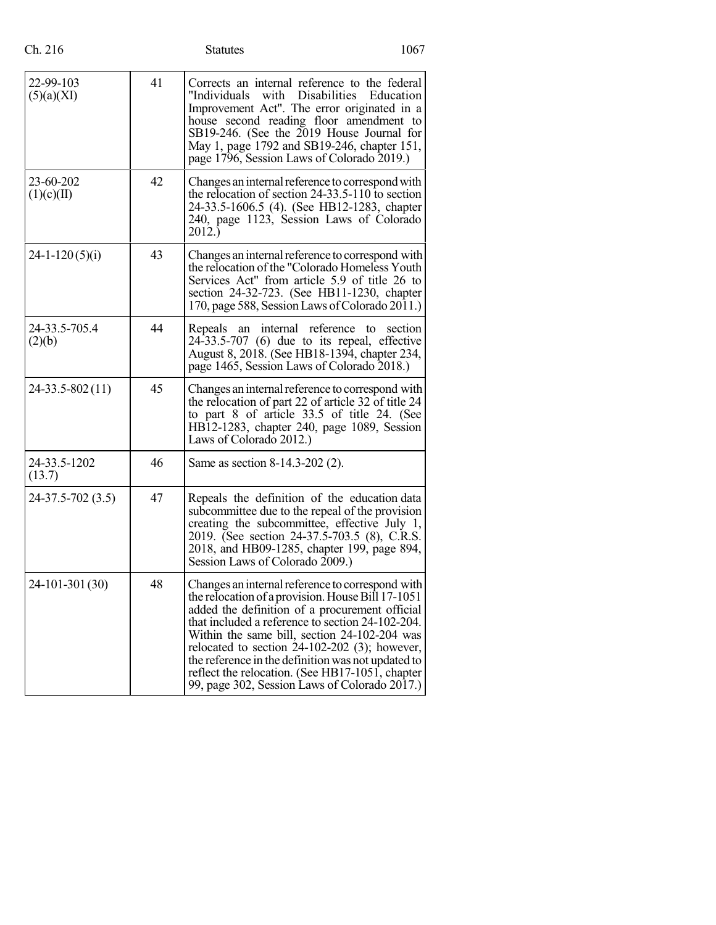## Statutes 1067

| 22-99-103<br>(5)(a)(XI) | 41 | Corrects an internal reference to the federal<br>"Individuals<br>with<br><b>Disabilities</b><br>Education<br>Improvement Act". The error originated in a<br>house second reading floor amendment to<br>SB19-246. (See the 2019 House Journal for<br>May 1, page 1792 and SB19-246, chapter 151,<br>page 1796, Session Laws of Colorado 2019.)                                                                                                                            |  |  |  |
|-------------------------|----|--------------------------------------------------------------------------------------------------------------------------------------------------------------------------------------------------------------------------------------------------------------------------------------------------------------------------------------------------------------------------------------------------------------------------------------------------------------------------|--|--|--|
| 23-60-202<br>(1)(c)(II) | 42 | Changes an internal reference to correspond with<br>the relocation of section $24-33.5-110$ to section<br>24-33.5-1606.5 (4). (See HB12-1283, chapter<br>240, page 1123, Session Laws of Colorado<br>2012.)                                                                                                                                                                                                                                                              |  |  |  |
| $24 - 1 - 120(5)(i)$    | 43 | Changes an internal reference to correspond with<br>the relocation of the "Colorado Homeless Youth<br>Services Act" from article 5.9 of title 26 to<br>section 24-32-723. (See HB11-1230, chapter<br>170, page 588, Session Laws of Colorado 2011.)                                                                                                                                                                                                                      |  |  |  |
| 24-33.5-705.4<br>(2)(b) | 44 | an internal reference<br>section<br>Repeals<br>to<br>$24-33.5-707$ (6) due to its repeal, effective<br>August 8, 2018. (See HB18-1394, chapter 234,<br>page 1465, Session Laws of Colorado 2018.)                                                                                                                                                                                                                                                                        |  |  |  |
| 24-33.5-802(11)         | 45 | Changes an internal reference to correspond with<br>the relocation of part 22 of article 32 of title 24<br>to part 8 of article 33.5 of title 24. (See<br>HB12-1283, chapter 240, page 1089, Session<br>Laws of Colorado 2012.)                                                                                                                                                                                                                                          |  |  |  |
| 24-33.5-1202<br>(13.7)  | 46 | Same as section 8-14.3-202 (2).                                                                                                                                                                                                                                                                                                                                                                                                                                          |  |  |  |
| 24-37.5-702 (3.5)       | 47 | Repeals the definition of the education data<br>subcommittee due to the repeal of the provision<br>creating the subcommittee, effective July 1,<br>2019. (See section 24-37.5-703.5 (8), C.R.S.<br>2018, and HB09-1285, chapter 199, page 894,<br>Session Laws of Colorado 2009.)                                                                                                                                                                                        |  |  |  |
| 24-101-301 (30)         | 48 | Changes an internal reference to correspond with<br>the relocation of a provision. House Bill 17-1051<br>added the definition of a procurement official<br>that included a reference to section 24-102-204.<br>Within the same bill, section 24-102-204 was<br>relocated to section $24-102-202$ (3); however,<br>the reference in the definition was not updated to<br>reflect the relocation. (See HB17-1051, chapter<br>99, page 302, Session Laws of Colorado 2017.) |  |  |  |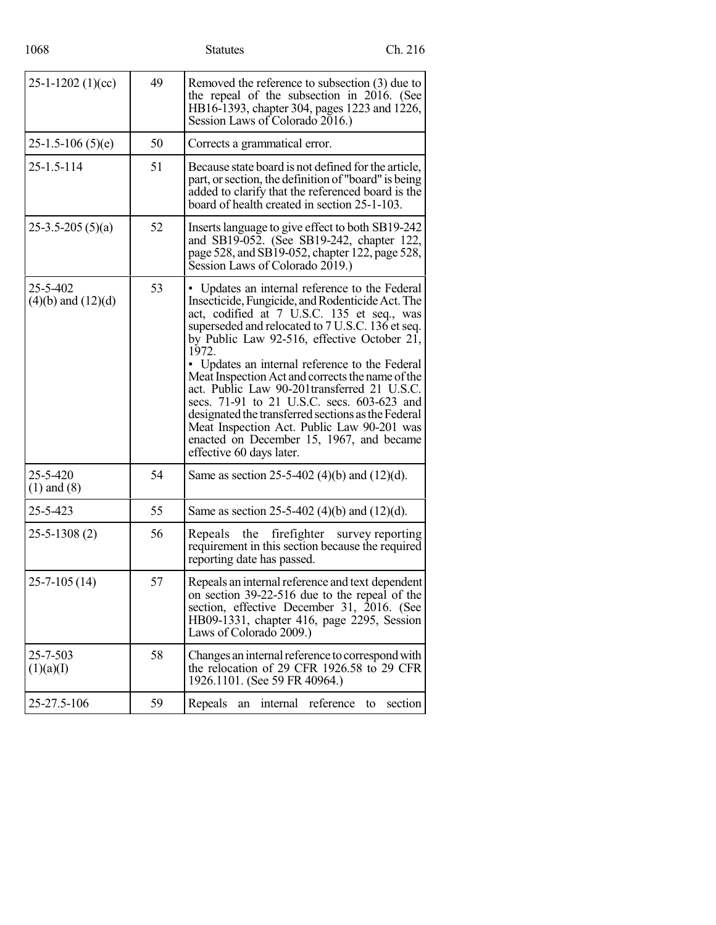| 1068 | <b>Statutes</b> | Ch. 216 |
|------|-----------------|---------|
|      |                 |         |

| $25-1-1202(1)(cc)$                 | 49 | Removed the reference to subsection (3) due to<br>the repeal of the subsection in 2016. (See<br>HB16-1393, chapter 304, pages 1223 and 1226,<br>Session Laws of Colorado 2016.)                                                                                                                                                                                                                                                                                                                                                                                                                                                              |  |  |  |
|------------------------------------|----|----------------------------------------------------------------------------------------------------------------------------------------------------------------------------------------------------------------------------------------------------------------------------------------------------------------------------------------------------------------------------------------------------------------------------------------------------------------------------------------------------------------------------------------------------------------------------------------------------------------------------------------------|--|--|--|
| $25-1.5-106(5)(e)$                 | 50 | Corrects a grammatical error.                                                                                                                                                                                                                                                                                                                                                                                                                                                                                                                                                                                                                |  |  |  |
| 25-1.5-114                         | 51 | Because state board is not defined for the article,<br>part, or section, the definition of "board" is being<br>added to clarify that the referenced board is the<br>board of health created in section 25-1-103.                                                                                                                                                                                                                                                                                                                                                                                                                             |  |  |  |
| $25-3.5-205(5)(a)$                 | 52 | Inserts language to give effect to both SB19-242<br>and SB19-052. (See SB19-242, chapter 122,<br>page 528, and SB19-052, chapter 122, page 528,<br>Session Laws of Colorado 2019.)                                                                                                                                                                                                                                                                                                                                                                                                                                                           |  |  |  |
| 25-5-402<br>$(4)(b)$ and $(12)(d)$ | 53 | • Updates an internal reference to the Federal<br>Insecticide, Fungicide, and Rodenticide Act. The<br>act, codified at 7 U.S.C. 135 et seq., was<br>superseded and relocated to 7 U.S.C. 136 et seq.<br>by Public Law 92-516, effective October 21,<br>1972.<br>• Updates an internal reference to the Federal<br>Meat Inspection Act and corrects the name of the<br>act. Public Law 90-201 transferred 21 U.S.C.<br>secs. 71-91 to 21 U.S.C. secs. 603-623 and<br>designated the transferred sections as the Federal<br>Meat Inspection Act. Public Law 90-201 was<br>enacted on December 15, 1967, and became<br>effective 60 days later. |  |  |  |
| 25-5-420<br>$(1)$ and $(8)$        | 54 | Same as section 25-5-402 (4)(b) and $(12)(d)$ .                                                                                                                                                                                                                                                                                                                                                                                                                                                                                                                                                                                              |  |  |  |
| 25-5-423                           | 55 | Same as section 25-5-402 (4)(b) and $(12)(d)$ .                                                                                                                                                                                                                                                                                                                                                                                                                                                                                                                                                                                              |  |  |  |
| $25 - 5 - 1308(2)$                 | 56 | the firefighter<br>Repeals<br>survey reporting<br>requirement in this section because the required<br>reporting date has passed.                                                                                                                                                                                                                                                                                                                                                                                                                                                                                                             |  |  |  |
| $25 - 7 - 105(14)$                 | 57 | Repeals an internal reference and text dependent<br>on section 39-22-516 due to the repeal of the<br>section, effective December 31, 2016. (See<br>HB09-1331, chapter 416, page 2295, Session<br>Laws of Colorado 2009.)                                                                                                                                                                                                                                                                                                                                                                                                                     |  |  |  |
| 25-7-503<br>(1)(a)(I)              | 58 | Changes an internal reference to correspond with<br>the relocation of 29 CFR 1926.58 to 29 CFR<br>1926.1101. (See 59 FR 40964.)                                                                                                                                                                                                                                                                                                                                                                                                                                                                                                              |  |  |  |
| 25-27.5-106                        | 59 | internal<br>reference<br>section<br>Repeals<br>an<br>to                                                                                                                                                                                                                                                                                                                                                                                                                                                                                                                                                                                      |  |  |  |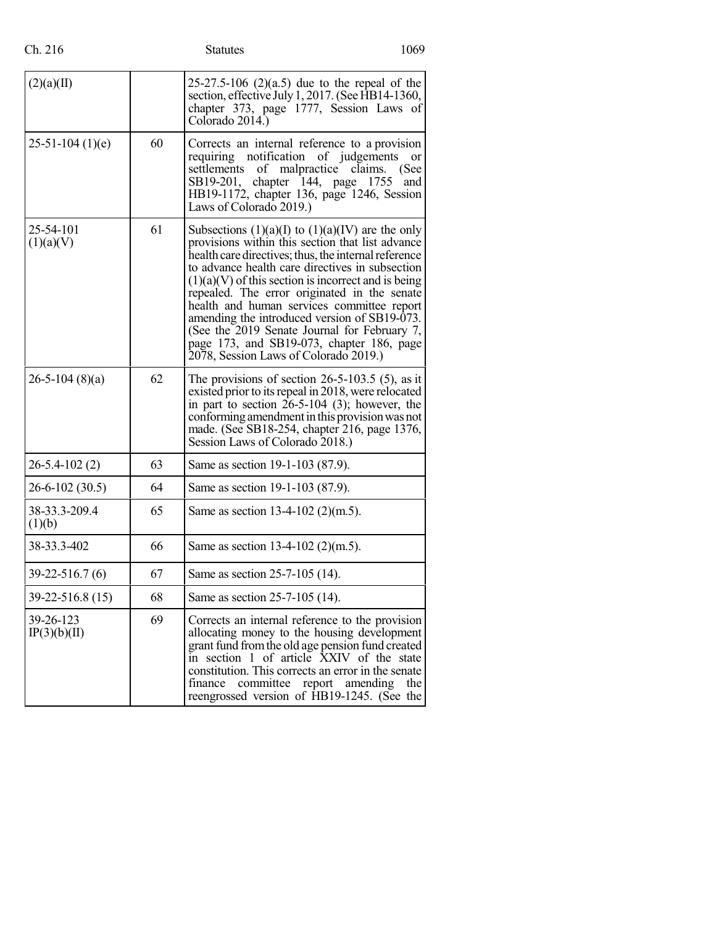| (2)(a)(II)                |    | $25-27.5-106$ (2)(a.5) due to the repeal of the<br>section, effective July 1, 2017. (See HB14-1360,<br>chapter 373, page 1777, Session Laws of<br>Colorado 2014.)                                                                                                                                                                                                                                                                                                                                                                                                |  |  |  |
|---------------------------|----|------------------------------------------------------------------------------------------------------------------------------------------------------------------------------------------------------------------------------------------------------------------------------------------------------------------------------------------------------------------------------------------------------------------------------------------------------------------------------------------------------------------------------------------------------------------|--|--|--|
| $25-51-104(1)(e)$         | 60 | Corrects an internal reference to a provision<br>requiring notification<br>of judgements<br>or<br>malpractice claims.<br>settlements<br>of<br>(See<br>SB19-201, chapter 144, page 1755<br>and<br>HB19-1172, chapter 136, page 1246, Session<br>Laws of Colorado 2019.)                                                                                                                                                                                                                                                                                           |  |  |  |
| 25-54-101<br>(1)(a)(V)    | 61 | Subsections $(1)(a)(I)$ to $(1)(a)(IV)$ are the only<br>provisions within this section that list advance<br>health care directives; thus, the internal reference<br>to advance health care directives in subsection<br>$(1)(a)(V)$ of this section is incorrect and is being<br>repealed. The error originated in the senate<br>health and human services committee report<br>amending the introduced version of SB19-073.<br>(See the 2019 Senate Journal for February 7,<br>page 173, and SB19-073, chapter 186, page<br>2078, Session Laws of Colorado 2019.) |  |  |  |
| $26 - 5 - 104$ (8)(a)     | 62 | The provisions of section $26-5-103.5$ (5), as it<br>existed prior to its repeal in 2018, were relocated<br>in part to section $26-5-104$ (3); however, the<br>conforming amendment in this provision was not<br>made. (See SB18-254, chapter 216, page 1376,<br>Session Laws of Colorado 2018.)                                                                                                                                                                                                                                                                 |  |  |  |
| $26 - 5.4 - 102(2)$       | 63 | Same as section 19-1-103 (87.9).                                                                                                                                                                                                                                                                                                                                                                                                                                                                                                                                 |  |  |  |
| $26 - 6 - 102(30.5)$      | 64 | Same as section 19-1-103 (87.9).                                                                                                                                                                                                                                                                                                                                                                                                                                                                                                                                 |  |  |  |
| 38-33.3-209.4<br>(1)(b)   | 65 | Same as section 13-4-102 (2)(m.5).                                                                                                                                                                                                                                                                                                                                                                                                                                                                                                                               |  |  |  |
| 38-33.3-402               | 66 | Same as section 13-4-102 (2)(m.5).                                                                                                                                                                                                                                                                                                                                                                                                                                                                                                                               |  |  |  |
| $39 - 22 - 516.7(6)$      | 67 | Same as section 25-7-105 (14).                                                                                                                                                                                                                                                                                                                                                                                                                                                                                                                                   |  |  |  |
| 39-22-516.8 (15)          | 68 | Same as section 25-7-105 (14).                                                                                                                                                                                                                                                                                                                                                                                                                                                                                                                                   |  |  |  |
| 39-26-123<br>IP(3)(b)(II) | 69 | Corrects an internal reference to the provision<br>allocating money to the housing development<br>grant fund from the old age pension fund created<br>in section 1 of article XXIV of the state<br>constitution. This corrects an error in the senate<br>report amending<br>finance<br>committee<br>the<br>reengrossed version of HB19-1245. (See the                                                                                                                                                                                                            |  |  |  |